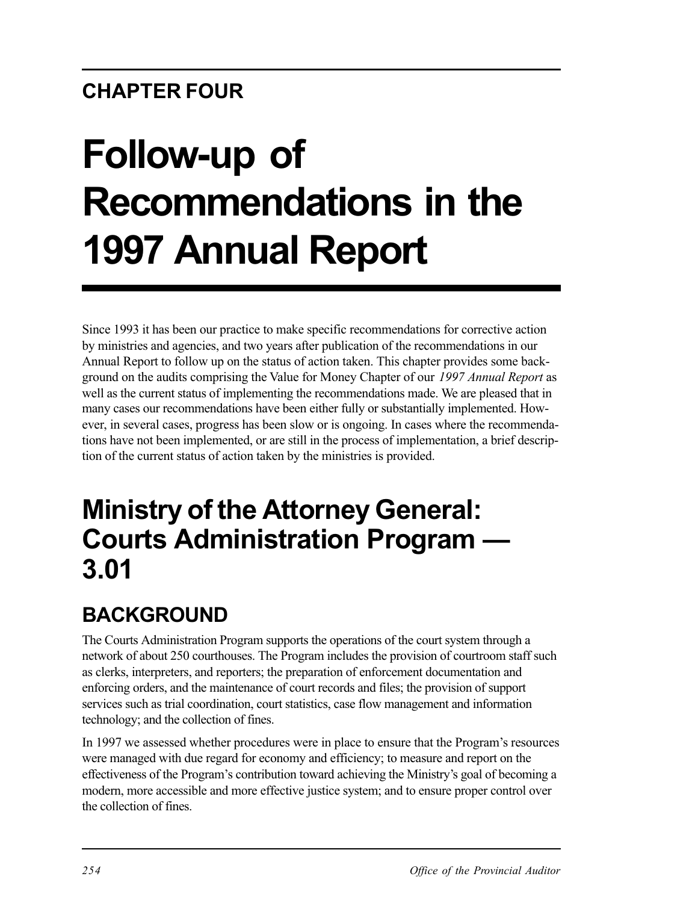# **CHAPTER FOUR**

# **Follow-up of Recommendations in the 1997 Annual Report**

Since 1993 it has been our practice to make specific recommendations for corrective action by ministries and agencies, and two years after publication of the recommendations in our Annual Report to follow up on the status of action taken. This chapter provides some background on the audits comprising the Value for Money Chapter of our *1997 Annual Report* as well as the current status of implementing the recommendations made. We are pleased that in many cases our recommendations have been either fully or substantially implemented. However, in several cases, progress has been slow or is ongoing. In cases where the recommendations have not been implemented, or are still in the process of implementation, a brief description of the current status of action taken by the ministries is provided.

# **Ministry of the Attorney General: Courts Administration Program — 3.01**

# **BACKGROUND**

The Courts Administration Program supports the operations of the court system through a network of about 250 courthouses. The Program includes the provision of courtroom staff such as clerks, interpreters, and reporters; the preparation of enforcement documentation and enforcing orders, and the maintenance of court records and files; the provision of support services such as trial coordination, court statistics, case flow management and information technology; and the collection of fines.

In 1997 we assessed whether procedures were in place to ensure that the Program's resources were managed with due regard for economy and efficiency; to measure and report on the effectiveness of the Program's contribution toward achieving the Ministry's goal of becoming a modern, more accessible and more effective justice system; and to ensure proper control over the collection of fines.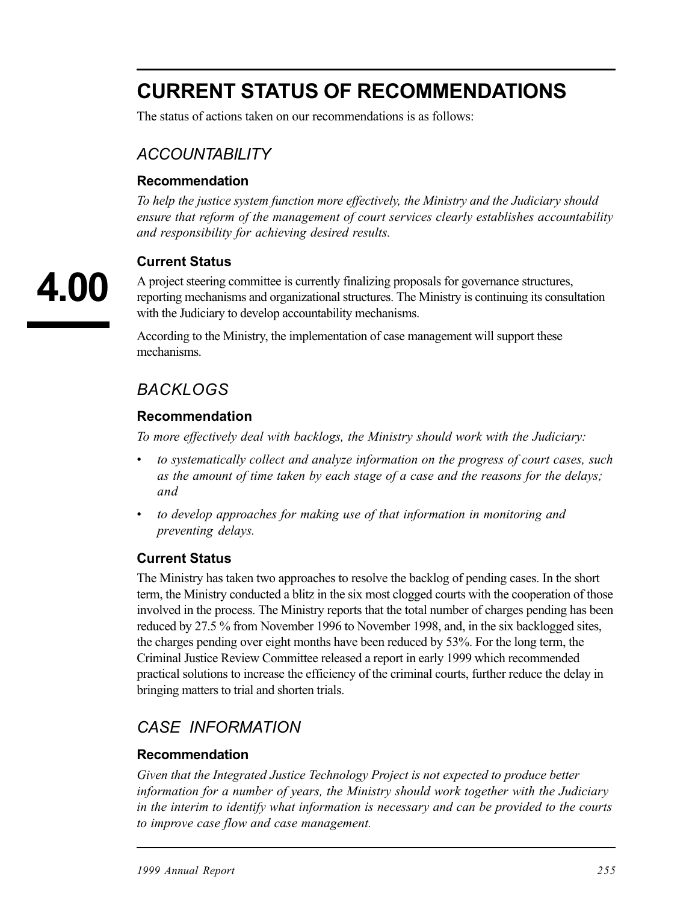# **CURRENT STATUS OF RECOMMENDATIONS**

The status of actions taken on our recommendations is as follows:

## *ACCOUNTABILITY*

#### **Recommendation**

*To help the justice system function more effectively, the Ministry and the Judiciary should ensure that reform of the management of court services clearly establishes accountability and responsibility for achieving desired results.* 

#### **Current Status**

A project steering committee is currently finalizing proposals for governance structures, reporting mechanisms and organizational structures. The Ministry is continuing its consultation with the Judiciary to develop accountability mechanisms.

According to the Ministry, the implementation of case management will support these mechanisms.

## *BACKLOGS*

#### **Recommendation**

*To more effectively deal with backlogs, the Ministry should work with the Judiciary:* 

- *• to systematically collect and analyze information on the progress of court cases, such as the amount of time taken by each stage of a case and the reasons for the delays; and*
- *• to develop approaches for making use of that information in monitoring and preventing delays.*

#### **Current Status**

The Ministry has taken two approaches to resolve the backlog of pending cases. In the short term, the Ministry conducted a blitz in the six most clogged courts with the cooperation of those involved in the process. The Ministry reports that the total number of charges pending has been reduced by 27.5 % from November 1996 to November 1998, and, in the six backlogged sites, the charges pending over eight months have been reduced by 53%. For the long term, the Criminal Justice Review Committee released a report in early 1999 which recommended practical solutions to increase the efficiency of the criminal courts, further reduce the delay in bringing matters to trial and shorten trials.

### *CASE INFORMATION*

#### **Recommendation**

*Given that the Integrated Justice Technology Project is not expected to produce better information for a number of years, the Ministry should work together with the Judiciary in the interim to identify what information is necessary and can be provided to the courts to improve case flow and case management.*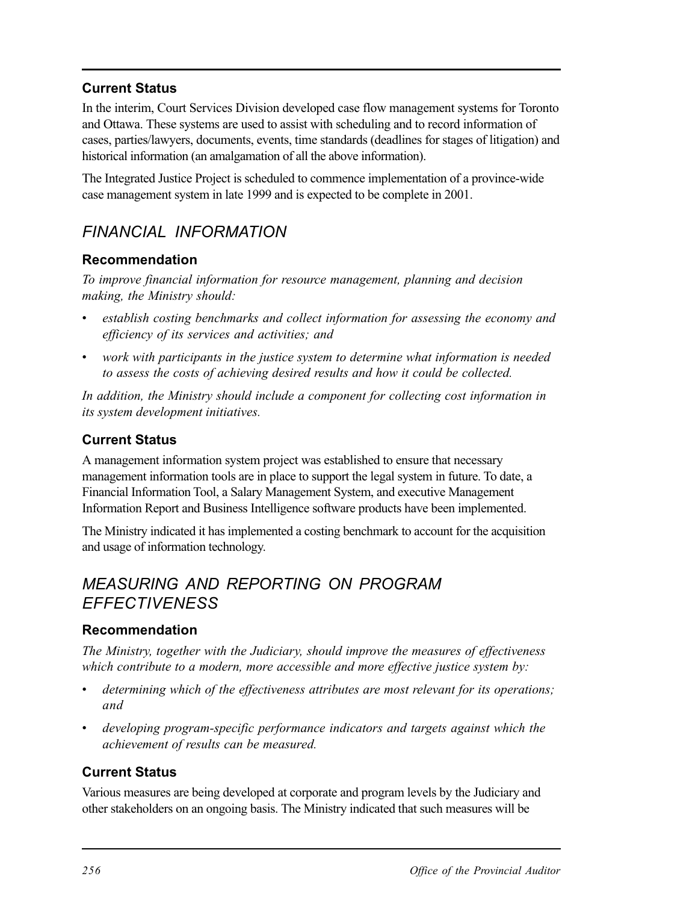#### **Current Status**

In the interim, Court Services Division developed case flow management systems for Toronto and Ottawa. These systems are used to assist with scheduling and to record information of cases, parties/lawyers, documents, events, time standards (deadlines for stages of litigation) and historical information (an amalgamation of all the above information).

The Integrated Justice Project is scheduled to commence implementation of a province-wide case management system in late 1999 and is expected to be complete in 2001.

## *FINANCIAL INFORMATION*

#### **Recommendation**

*To improve financial information for resource management, planning and decision making, the Ministry should:* 

- *• establish costing benchmarks and collect information for assessing the economy and efficiency of its services and activities; and*
- *work with participants in the justice system to determine what information is needed to assess the costs of achieving desired results and how it could be collected.*

In addition, the Ministry should include a component for collecting cost information in *its system development initiatives.* 

#### **Current Status**

A management information system project was established to ensure that necessary management information tools are in place to support the legal system in future. To date, a Financial Information Tool, a Salary Management System, and executive Management Information Report and Business Intelligence software products have been implemented.

The Ministry indicated it has implemented a costing benchmark to account for the acquisition and usage of information technology.

## *MEASURING AND REPORTING ON PROGRAM EFFECTIVENESS*

#### **Recommendation**

*The Ministry, together with the Judiciary, should improve the measures of effectiveness which contribute to a modern, more accessible and more effective justice system by:* 

- determining which of the effectiveness attributes are most relevant for its operations; *and*
- developing program-specific performance indicators and targets against which the *achievement of results can be measured.*

#### **Current Status**

Various measures are being developed at corporate and program levels by the Judiciary and other stakeholders on an ongoing basis. The Ministry indicated that such measures will be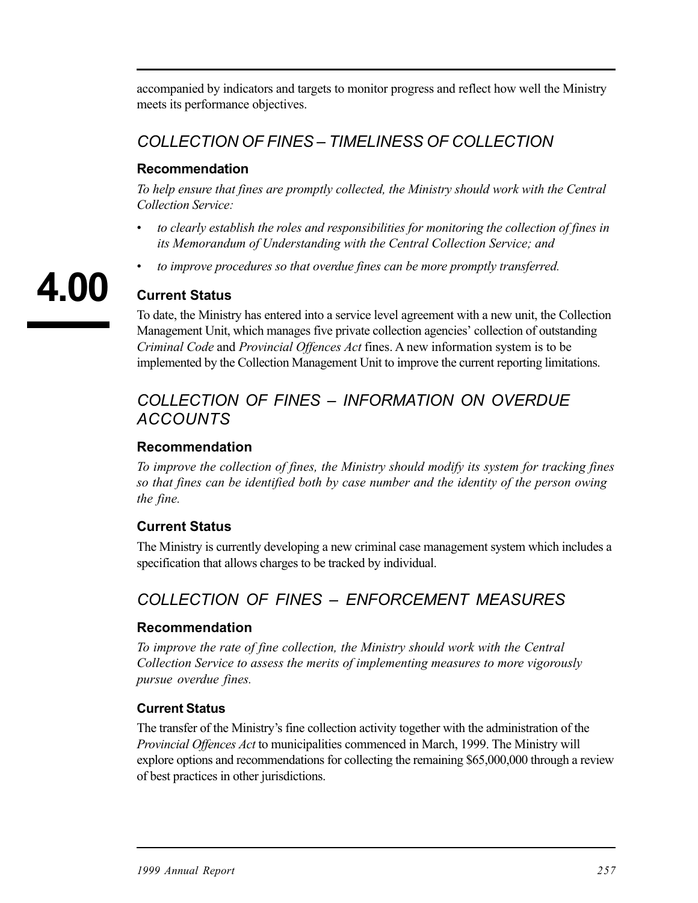accompanied by indicators and targets to monitor progress and reflect how well the Ministry meets its performance objectives.

## *COLLECTION OF FINES – TIMELINESS OF COLLECTION*

#### **Recommendation**

*To help ensure that fines are promptly collected, the Ministry should work with the Central Collection Service:* 

- *• to clearly establish the roles and responsibilities for monitoring the collection of fines in its Memorandum of Understanding with the Central Collection Service; and*
- *to improve procedures so that overdue fines can be more promptly transferred.*

# **Current Status**

To date, the Ministry has entered into a service level agreement with a new unit, the Collection Management Unit, which manages five private collection agencies' collection of outstanding *Criminal Code* and *Provincial Offences Act* fines. A new information system is to be implemented by the Collection Management Unit to improve the current reporting limitations.

## *COLLECTION OF FINES – INFORMATION ON OVERDUE ACCOUNTS*

#### **Recommendation**

*To improve the collection of fines, the Ministry should modify its system for tracking fines so that fines can be identified both by case number and the identity of the person owing the fine.* 

#### **Current Status**

The Ministry is currently developing a new criminal case management system which includes a specification that allows charges to be tracked by individual.

## *COLLECTION OF FINES – ENFORCEMENT MEASURES*

#### **Recommendation**

*To improve the rate of fine collection, the Ministry should work with the Central Collection Service to assess the merits of implementing measures to more vigorously pursue overdue fines.* 

#### **Current Status**

The transfer of the Ministry's fine collection activity together with the administration of the *Provincial Offences Act* to municipalities commenced in March, 1999. The Ministry will explore options and recommendations for collecting the remaining \$65,000,000 through a review of best practices in other jurisdictions.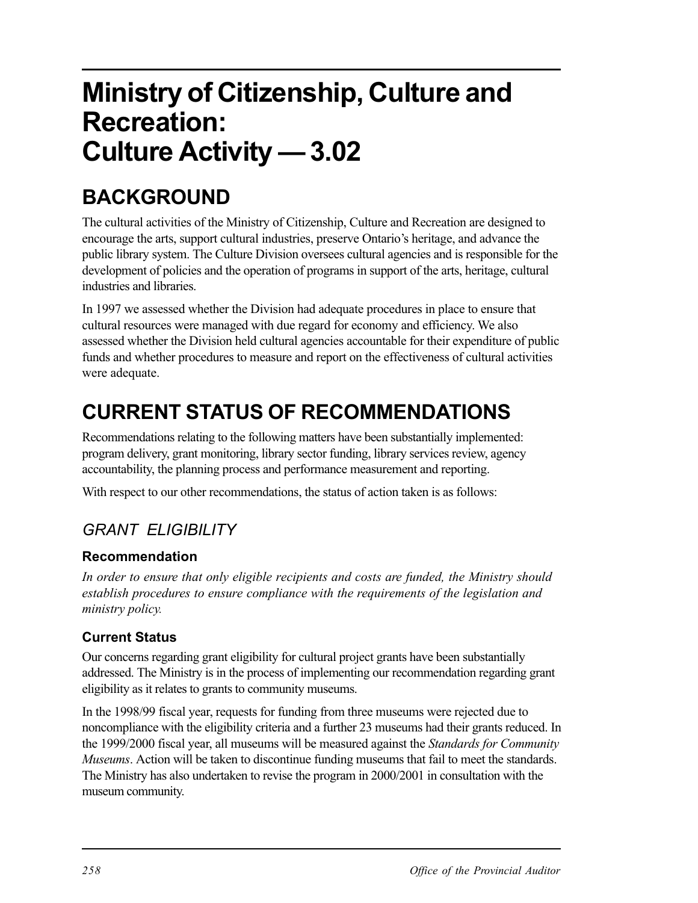# **Ministry of Citizenship, Culture and Recreation: Culture Activity — 3.02**

# **BACKGROUND**

The cultural activities of the Ministry of Citizenship, Culture and Recreation are designed to encourage the arts, support cultural industries, preserve Ontario's heritage, and advance the public library system. The Culture Division oversees cultural agencies and is responsible for the development of policies and the operation of programs in support of the arts, heritage, cultural industries and libraries.

In 1997 we assessed whether the Division had adequate procedures in place to ensure that cultural resources were managed with due regard for economy and efficiency. We also assessed whether the Division held cultural agencies accountable for their expenditure of public funds and whether procedures to measure and report on the effectiveness of cultural activities were adequate.

# **CURRENT STATUS OF RECOMMENDATIONS**

Recommendations relating to the following matters have been substantially implemented: program delivery, grant monitoring, library sector funding, library services review, agency accountability, the planning process and performance measurement and reporting.

With respect to our other recommendations, the status of action taken is as follows:

# *GRANT ELIGIBILITY*

#### **Recommendation**

*In order to ensure that only eligible recipients and costs are funded, the Ministry should establish procedures to ensure compliance with the requirements of the legislation and ministry policy.* 

#### **Current Status**

Our concerns regarding grant eligibility for cultural project grants have been substantially addressed. The Ministry is in the process of implementing our recommendation regarding grant eligibility as it relates to grants to community museums.

In the 1998/99 fiscal year, requests for funding from three museums were rejected due to noncompliance with the eligibility criteria and a further 23 museums had their grants reduced. In the 1999/2000 fiscal year, all museums will be measured against the *Standards for Community Museums*. Action will be taken to discontinue funding museums that fail to meet the standards. The Ministry has also undertaken to revise the program in 2000/2001 in consultation with the museum community.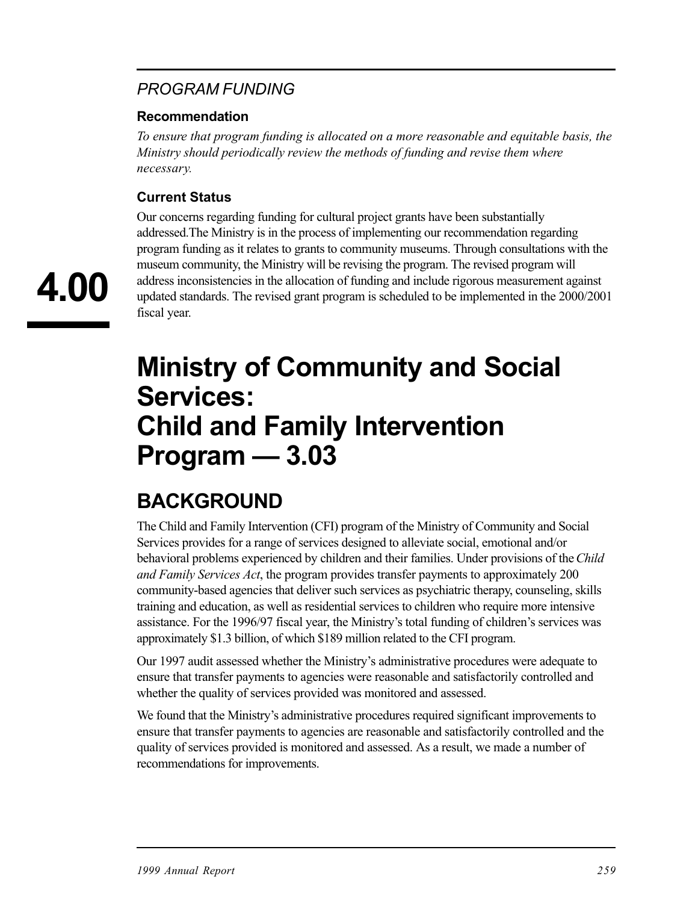## *PROGRAM FUNDING*

#### **Recommendation**

*To ensure that program funding is allocated on a more reasonable and equitable basis, the Ministry should periodically review the methods of funding and revise them where necessary.* 

#### **Current Status**

Our concerns regarding funding for cultural project grants have been substantially addressed.The Ministry is in the process of implementing our recommendation regarding program funding as it relates to grants to community museums. Through consultations with the museum community, the Ministry will be revising the program. The revised program will address inconsistencies in the allocation of funding and include rigorous measurement against updated standards. The revised grant program is scheduled to be implemented in the 2000/2001 fiscal year.

# **Ministry of Community and Social Services: Child and Family Intervention Program — 3.03**

# **BACKGROUND**

The Child and Family Intervention (CFI) program of the Ministry of Community and Social Services provides for a range of services designed to alleviate social, emotional and/or behavioral problems experienced by children and their families. Under provisions of the *Child and Family Services Act*, the program provides transfer payments to approximately 200 community-based agencies that deliver such services as psychiatric therapy, counseling, skills training and education, as well as residential services to children who require more intensive assistance. For the 1996/97 fiscal year, the Ministry's total funding of children's services was approximately \$1.3 billion, of which \$189 million related to the CFI program.

Our 1997 audit assessed whether the Ministry's administrative procedures were adequate to ensure that transfer payments to agencies were reasonable and satisfactorily controlled and whether the quality of services provided was monitored and assessed.

We found that the Ministry's administrative procedures required significant improvements to ensure that transfer payments to agencies are reasonable and satisfactorily controlled and the quality of services provided is monitored and assessed. As a result, we made a number of recommendations for improvements.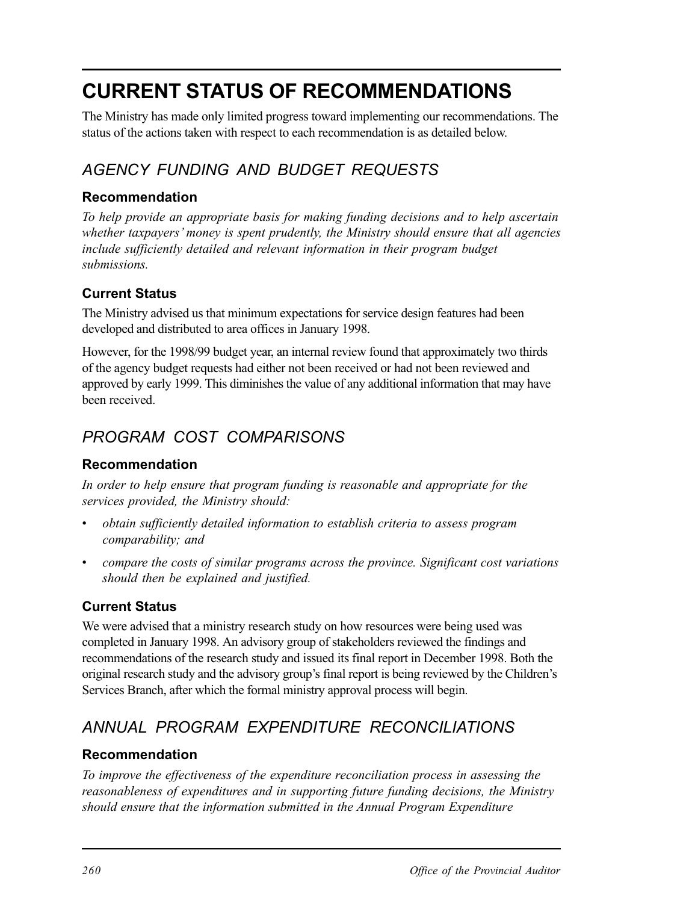# **CURRENT STATUS OF RECOMMENDATIONS**

The Ministry has made only limited progress toward implementing our recommendations. The status of the actions taken with respect to each recommendation is as detailed below.

# *AGENCY FUNDING AND BUDGET REQUESTS*

#### **Recommendation**

*To help provide an appropriate basis for making funding decisions and to help ascertain whether taxpayers' money is spent prudently, the Ministry should ensure that all agencies include sufficiently detailed and relevant information in their program budget submissions.* 

### **Current Status**

The Ministry advised us that minimum expectations for service design features had been developed and distributed to area offices in January 1998.

However, for the 1998/99 budget year, an internal review found that approximately two thirds of the agency budget requests had either not been received or had not been reviewed and approved by early 1999. This diminishes the value of any additional information that may have been received.

# *PROGRAM COST COMPARISONS*

#### **Recommendation**

*In order to help ensure that program funding is reasonable and appropriate for the services provided, the Ministry should:* 

- *• obtain sufficiently detailed information to establish criteria to assess program comparability; and*
- *• compare the costs of similar programs across the province. Significant cost variations should then be explained and justified.*

### **Current Status**

We were advised that a ministry research study on how resources were being used was completed in January 1998. An advisory group of stakeholders reviewed the findings and recommendations of the research study and issued its final report in December 1998. Both the original research study and the advisory group's final report is being reviewed by the Children's Services Branch, after which the formal ministry approval process will begin.

# *ANNUAL PROGRAM EXPENDITURE RECONCILIATIONS*

#### **Recommendation**

*To improve the effectiveness of the expenditure reconciliation process in assessing the reasonableness of expenditures and in supporting future funding decisions, the Ministry should ensure that the information submitted in the Annual Program Expenditure*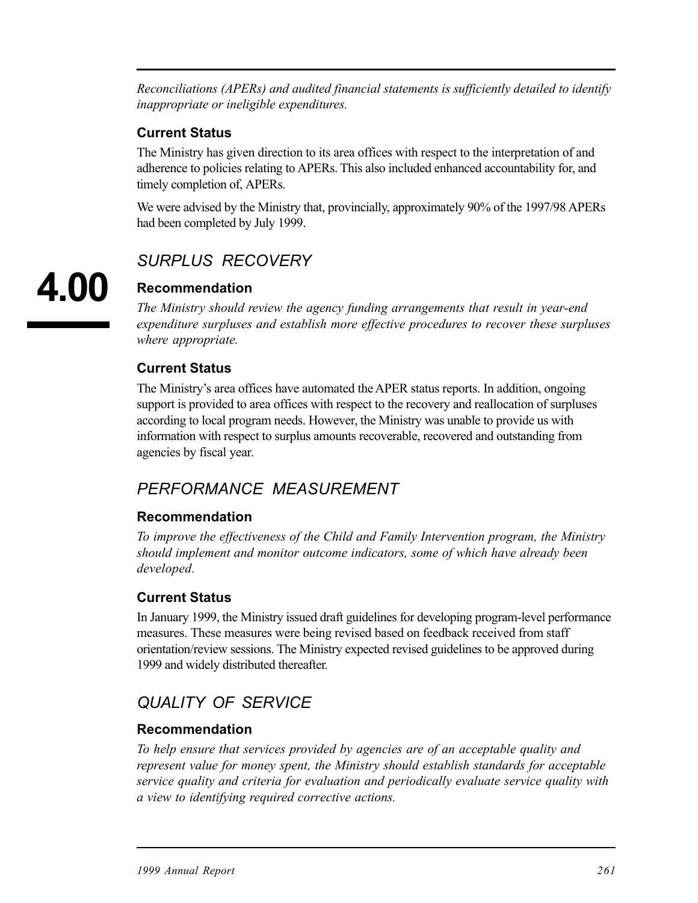*Reconciliations (APERs) and audited financial statements is sufficiently detailed to identify inappropriate or ineligible expenditures.* 

#### **Current Status**

The Ministry has given direction to its area offices with respect to the interpretation of and adherence to policies relating to APERs. This also included enhanced accountability for, and timely completion of, APERs.

We were advised by the Ministry that, provincially, approximately 90% of the 1997/98 APERs had been completed by July 1999.

## *SURPLUS RECOVERY*

## **Recommendation**

*The Ministry should review the agency funding arrangements that result in year-end expenditure surpluses and establish more effective procedures to recover these surpluses where appropriate.* 

#### **Current Status**

The Ministry's area offices have automated the APER status reports. In addition, ongoing support is provided to area offices with respect to the recovery and reallocation of surpluses according to local program needs. However, the Ministry was unable to provide us with information with respect to surplus amounts recoverable, recovered and outstanding from agencies by fiscal year.

## *PERFORMANCE MEASUREMENT*

#### **Recommendation**

*To improve the effectiveness of the Child and Family Intervention program, the Ministry should implement and monitor outcome indicators, some of which have already been developed.* 

#### **Current Status**

In January 1999, the Ministry issued draft guidelines for developing program-level performance measures. These measures were being revised based on feedback received from staff orientation/review sessions. The Ministry expected revised guidelines to be approved during 1999 and widely distributed thereafter.

# *QUALITY OF SERVICE*

#### **Recommendation**

*To help ensure that services provided by agencies are of an acceptable quality and represent value for money spent, the Ministry should establish standards for acceptable service quality and criteria for evaluation and periodically evaluate service quality with a view to identifying required corrective actions.*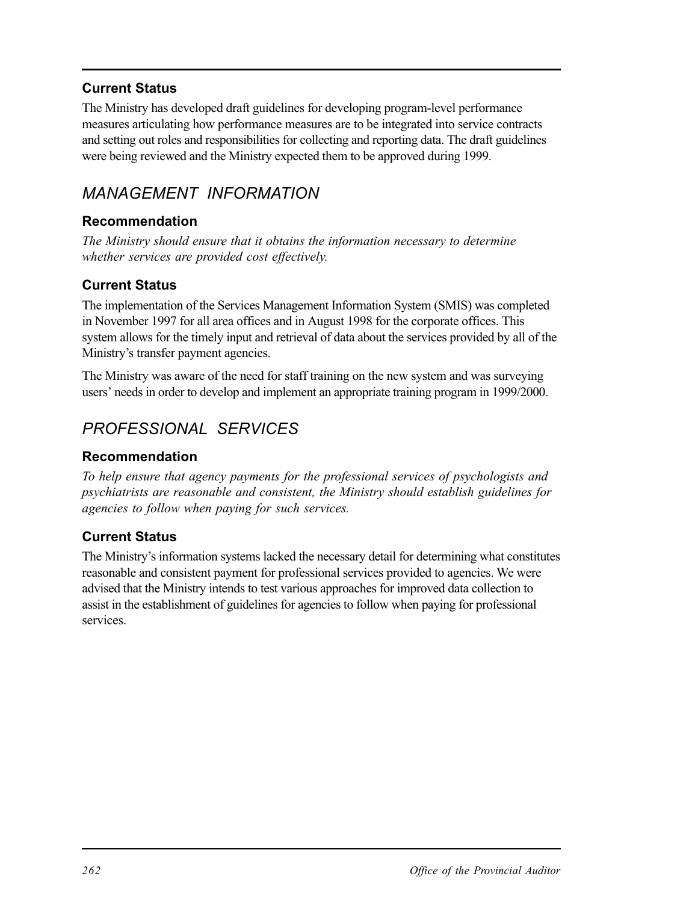#### **Current Status**

The Ministry has developed draft guidelines for developing program-level performance measures articulating how performance measures are to be integrated into service contracts and setting out roles and responsibilities for collecting and reporting data. The draft guidelines were being reviewed and the Ministry expected them to be approved during 1999.

## *MANAGEMENT INFORMATION*

#### **Recommendation**

*The Ministry should ensure that it obtains the information necessary to determine whether services are provided cost effectively.* 

#### **Current Status**

The implementation of the Services Management Information System (SMIS) was completed in November 1997 for all area offices and in August 1998 for the corporate offices. This system allows for the timely input and retrieval of data about the services provided by all of the Ministry's transfer payment agencies.

The Ministry was aware of the need for staff training on the new system and was surveying users' needs in order to develop and implement an appropriate training program in 1999/2000.

## *PROFESSIONAL SERVICES*

#### **Recommendation**

*To help ensure that agency payments for the professional services of psychologists and psychiatrists are reasonable and consistent, the Ministry should establish guidelines for agencies to follow when paying for such services.* 

#### **Current Status**

The Ministry's information systems lacked the necessary detail for determining what constitutes reasonable and consistent payment for professional services provided to agencies. We were advised that the Ministry intends to test various approaches for improved data collection to assist in the establishment of guidelines for agencies to follow when paying for professional services.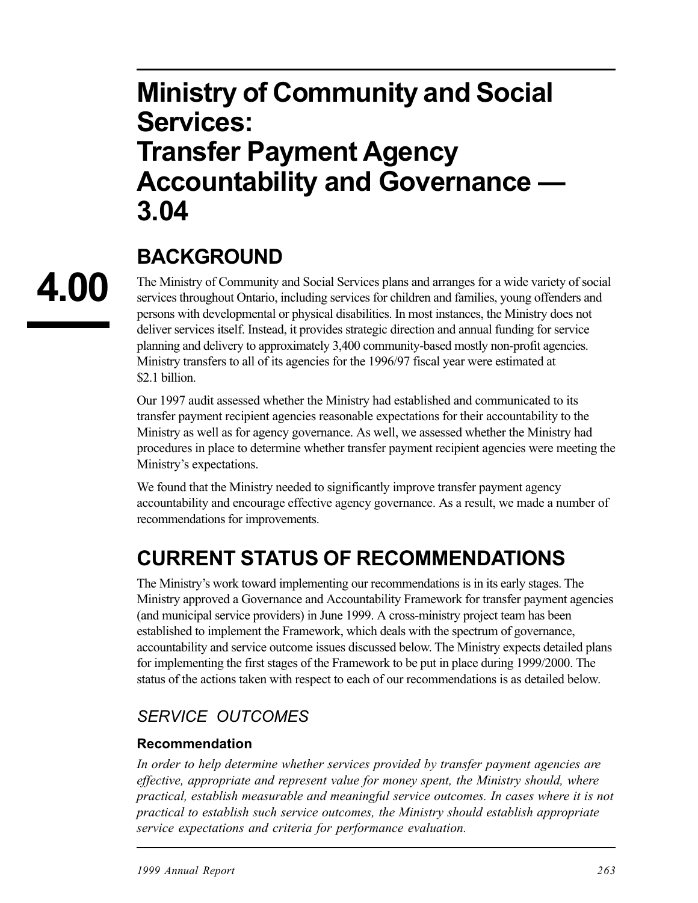# **Ministry of Community and Social Services: Transfer Payment Agency Accountability and Governance — 3.04**

# **BACKGROUND**

**4.00** 

The Ministry of Community and Social Services plans and arranges for a wide variety of social services throughout Ontario, including services for children and families, young offenders and persons with developmental or physical disabilities. In most instances, the Ministry does not deliver services itself. Instead, it provides strategic direction and annual funding for service planning and delivery to approximately 3,400 community-based mostly non-profit agencies. Ministry transfers to all of its agencies for the 1996/97 fiscal year were estimated at \$2.1 billion.

Our 1997 audit assessed whether the Ministry had established and communicated to its transfer payment recipient agencies reasonable expectations for their accountability to the Ministry as well as for agency governance. As well, we assessed whether the Ministry had procedures in place to determine whether transfer payment recipient agencies were meeting the Ministry's expectations.

We found that the Ministry needed to significantly improve transfer payment agency accountability and encourage effective agency governance. As a result, we made a number of recommendations for improvements.

# **CURRENT STATUS OF RECOMMENDATIONS**

The Ministry's work toward implementing our recommendations is in its early stages. The Ministry approved a Governance and Accountability Framework for transfer payment agencies (and municipal service providers) in June 1999. A cross-ministry project team has been established to implement the Framework, which deals with the spectrum of governance, accountability and service outcome issues discussed below. The Ministry expects detailed plans for implementing the first stages of the Framework to be put in place during 1999/2000. The status of the actions taken with respect to each of our recommendations is as detailed below.

## *SERVICE OUTCOMES*

#### **Recommendation**

*In order to help determine whether services provided by transfer payment agencies are effective, appropriate and represent value for money spent, the Ministry should, where practical, establish measurable and meaningful service outcomes. In cases where it is not practical to establish such service outcomes, the Ministry should establish appropriate service expectations and criteria for performance evaluation.*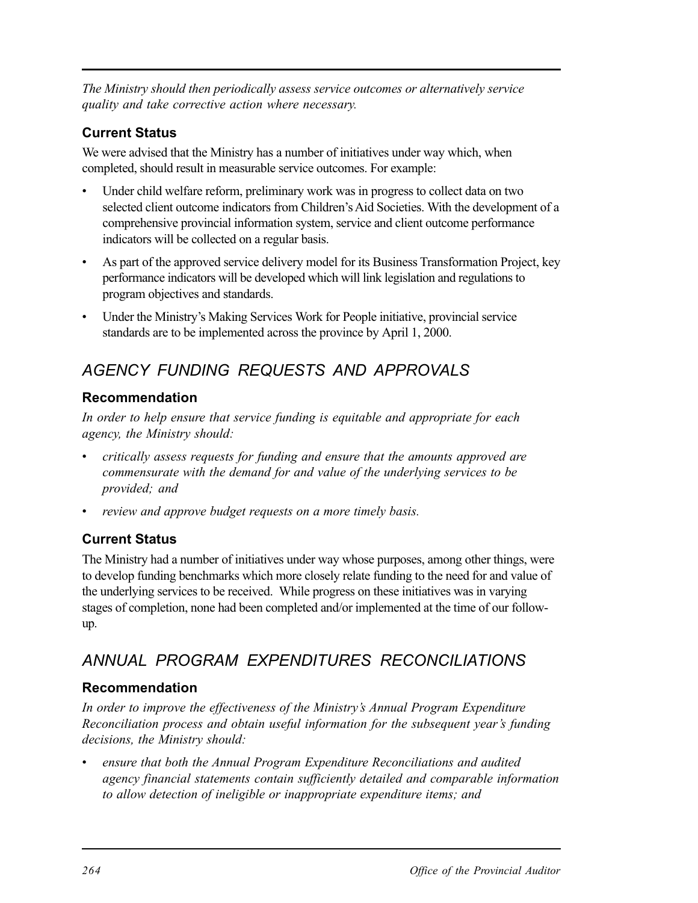*The Ministry should then periodically assess service outcomes or alternatively service quality and take corrective action where necessary.* 

#### **Current Status**

We were advised that the Ministry has a number of initiatives under way which, when completed, should result in measurable service outcomes. For example:

- Under child welfare reform, preliminary work was in progress to collect data on two selected client outcome indicators from Children's Aid Societies. With the development of a comprehensive provincial information system, service and client outcome performance indicators will be collected on a regular basis.
- As part of the approved service delivery model for its Business Transformation Project, key performance indicators will be developed which will link legislation and regulations to program objectives and standards.
- Under the Ministry's Making Services Work for People initiative, provincial service standards are to be implemented across the province by April 1, 2000.

# *AGENCY FUNDING REQUESTS AND APPROVALS*

### **Recommendation**

*In order to help ensure that service funding is equitable and appropriate for each agency, the Ministry should:* 

- *critically assess requests for funding and ensure that the amounts approved are commensurate with the demand for and value of the underlying services to be provided; and*
- *review and approve budget requests on a more timely basis.*

## **Current Status**

The Ministry had a number of initiatives under way whose purposes, among other things, were to develop funding benchmarks which more closely relate funding to the need for and value of the underlying services to be received. While progress on these initiatives was in varying stages of completion, none had been completed and/or implemented at the time of our followup.

# *ANNUAL PROGRAM EXPENDITURES RECONCILIATIONS*

### **Recommendation**

*In order to improve the effectiveness of the Ministry's Annual Program Expenditure Reconciliation process and obtain useful information for the subsequent year's funding decisions, the Ministry should:* 

ensure that both the Annual Program Expenditure Reconciliations and audited *agency financial statements contain sufficiently detailed and comparable information to allow detection of ineligible or inappropriate expenditure items; and*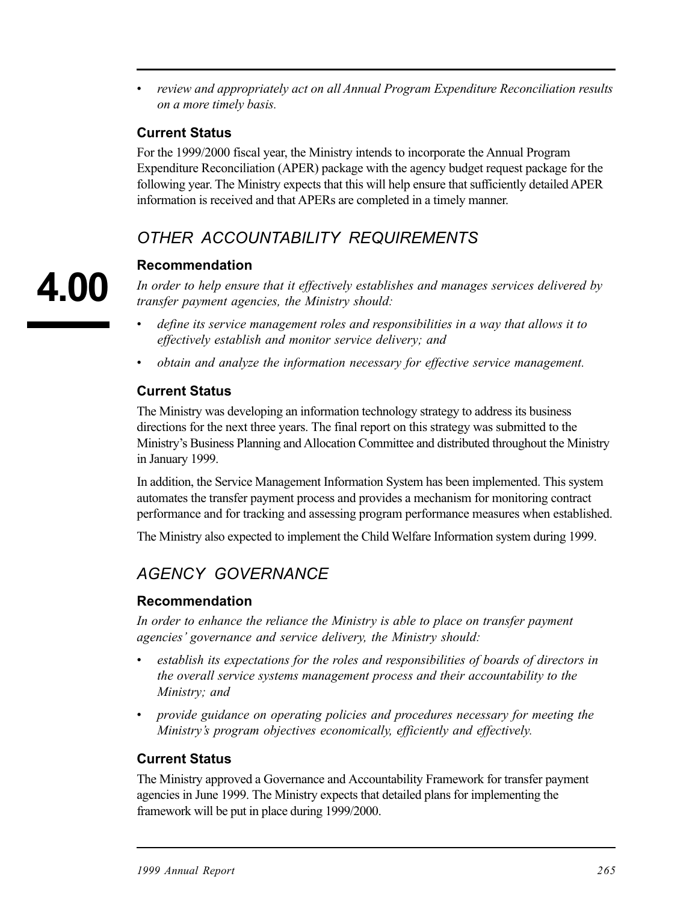*• review and appropriately act on all Annual Program Expenditure Reconciliation results on a more timely basis.* 

#### **Current Status**

For the 1999/2000 fiscal year, the Ministry intends to incorporate the Annual Program Expenditure Reconciliation (APER) package with the agency budget request package for the following year. The Ministry expects that this will help ensure that sufficiently detailed APER information is received and that APERs are completed in a timely manner.

# *OTHER ACCOUNTABILITY REQUIREMENTS*

#### **Recommendation**

*In order to help ensure that it effectively establishes and manages services delivered by transfer payment agencies, the Ministry should:* 

- define its service management roles and responsibilities in a way that allows it to *effectively establish and monitor service delivery; and*
- *obtain and analyze the information necessary for effective service management.*

#### **Current Status**

The Ministry was developing an information technology strategy to address its business directions for the next three years. The final report on this strategy was submitted to the Ministry's Business Planning and Allocation Committee and distributed throughout the Ministry in January 1999.

In addition, the Service Management Information System has been implemented. This system automates the transfer payment process and provides a mechanism for monitoring contract performance and for tracking and assessing program performance measures when established.

The Ministry also expected to implement the Child Welfare Information system during 1999.

# *AGENCY GOVERNANCE*

#### **Recommendation**

In order to enhance the reliance the Ministry is able to place on transfer payment *agencies' governance and service delivery, the Ministry should:* 

- *• establish its expectations for the roles and responsibilities of boards of directors in the overall service systems management process and their accountability to the Ministry; and*
- *provide guidance on operating policies and procedures necessary for meeting the Ministry's program objectives economically, efficiently and effectively.*

#### **Current Status**

The Ministry approved a Governance and Accountability Framework for transfer payment agencies in June 1999. The Ministry expects that detailed plans for implementing the framework will be put in place during 1999/2000.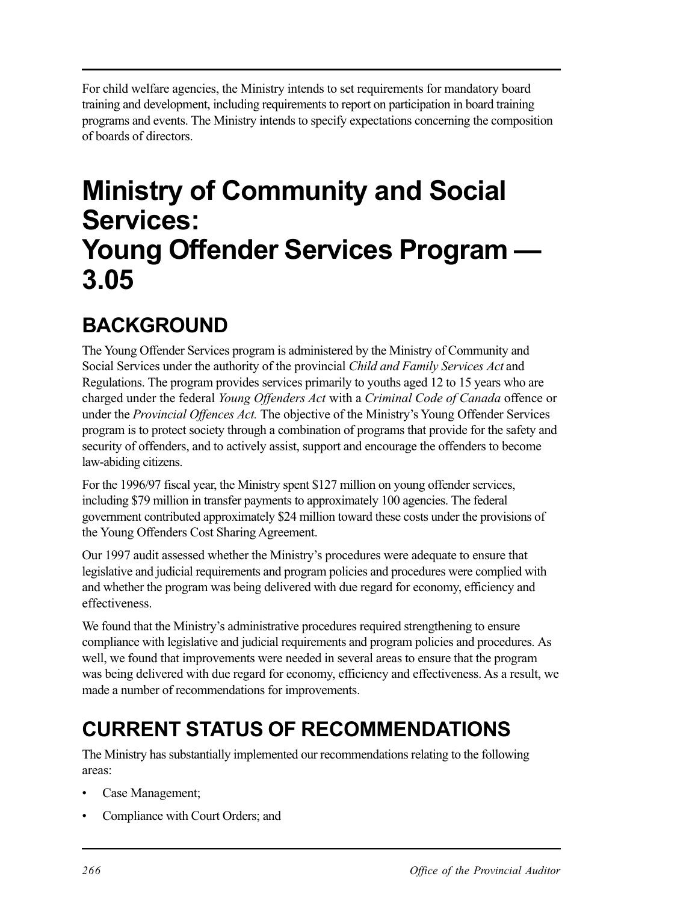For child welfare agencies, the Ministry intends to set requirements for mandatory board training and development, including requirements to report on participation in board training programs and events. The Ministry intends to specify expectations concerning the composition of boards of directors.

# **Ministry of Community and Social Services: Young Offender Services Program — 3.05**

# **BACKGROUND**

The Young Offender Services program is administered by the Ministry of Community and Social Services under the authority of the provincial *Child and Family Services Act* and Regulations. The program provides services primarily to youths aged 12 to 15 years who are charged under the federal *Young Offenders Act* with a *Criminal Code of Canada* offence or under the *Provincial Offences Act.* The objective of the Ministry's Young Offender Services program is to protect society through a combination of programs that provide for the safety and security of offenders, and to actively assist, support and encourage the offenders to become law-abiding citizens.

For the 1996/97 fiscal year, the Ministry spent \$127 million on young offender services, including \$79 million in transfer payments to approximately 100 agencies. The federal government contributed approximately \$24 million toward these costs under the provisions of the Young Offenders Cost Sharing Agreement.

Our 1997 audit assessed whether the Ministry's procedures were adequate to ensure that legislative and judicial requirements and program policies and procedures were complied with and whether the program was being delivered with due regard for economy, efficiency and effectiveness.

We found that the Ministry's administrative procedures required strengthening to ensure compliance with legislative and judicial requirements and program policies and procedures. As well, we found that improvements were needed in several areas to ensure that the program was being delivered with due regard for economy, efficiency and effectiveness. As a result, we made a number of recommendations for improvements.

# **CURRENT STATUS OF RECOMMENDATIONS**

The Ministry has substantially implemented our recommendations relating to the following areas:

- Case Management;
- Compliance with Court Orders; and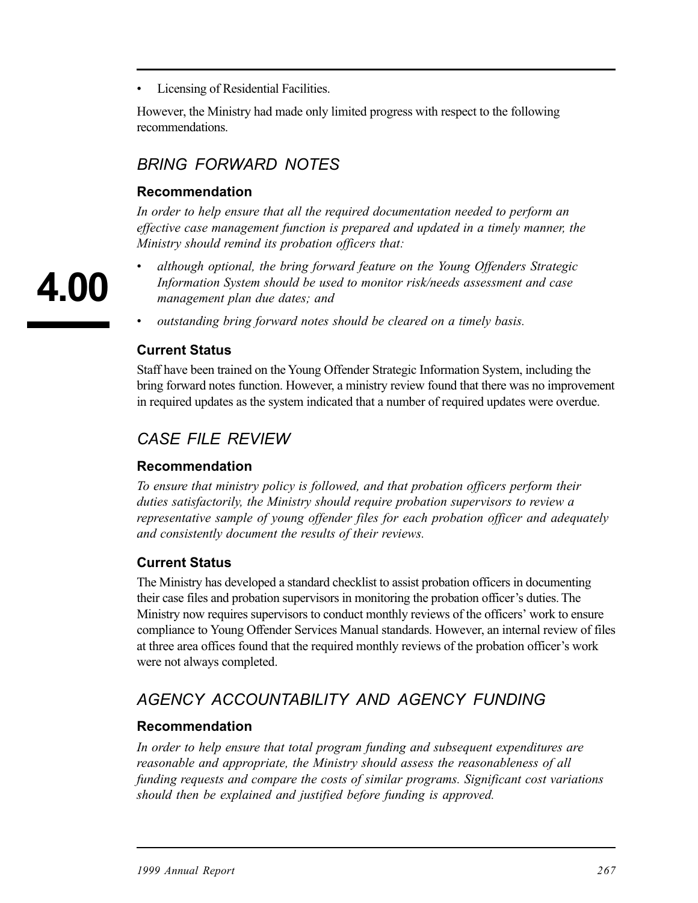• Licensing of Residential Facilities.

However, the Ministry had made only limited progress with respect to the following recommendations.

## *BRING FORWARD NOTES*

#### **Recommendation**

In order to help ensure that all the required documentation needed to perform an *effective case management function is prepared and updated in a timely manner, the Ministry should remind its probation officers that:* 

*• although optional, the bring forward feature on the Young Offenders Strategic Information System should be used to monitor risk/needs assessment and case management plan due dates; and* 

*• outstanding bring forward notes should be cleared on a timely basis.* 

#### **Current Status**

Staff have been trained on the Young Offender Strategic Information System, including the bring forward notes function. However, a ministry review found that there was no improvement in required updates as the system indicated that a number of required updates were overdue.

#### *CASE FILE REVIEW*

#### **Recommendation**

*To ensure that ministry policy is followed, and that probation officers perform their duties satisfactorily, the Ministry should require probation supervisors to review a representative sample of young offender files for each probation officer and adequately and consistently document the results of their reviews.* 

#### **Current Status**

The Ministry has developed a standard checklist to assist probation officers in documenting their case files and probation supervisors in monitoring the probation officer's duties. The Ministry now requires supervisors to conduct monthly reviews of the officers' work to ensure compliance to Young Offender Services Manual standards. However, an internal review of files at three area offices found that the required monthly reviews of the probation officer's work were not always completed.

### *AGENCY ACCOUNTABILITY AND AGENCY FUNDING*

#### **Recommendation**

*In order to help ensure that total program funding and subsequent expenditures are reasonable and appropriate, the Ministry should assess the reasonableness of all funding requests and compare the costs of similar programs. Significant cost variations should then be explained and justified before funding is approved.*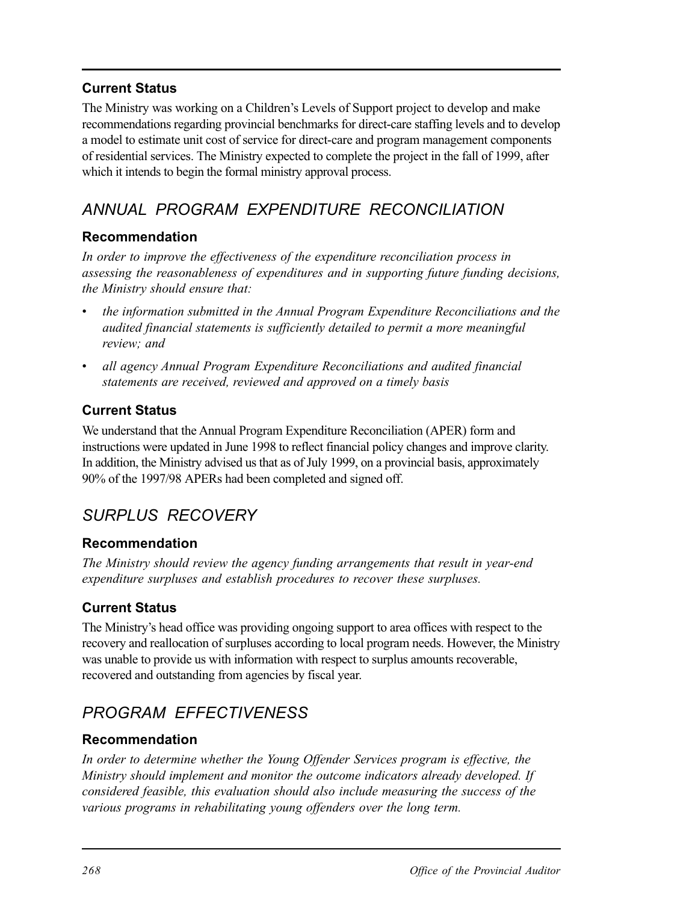#### **Current Status**

The Ministry was working on a Children's Levels of Support project to develop and make recommendations regarding provincial benchmarks for direct-care staffing levels and to develop a model to estimate unit cost of service for direct-care and program management components of residential services. The Ministry expected to complete the project in the fall of 1999, after which it intends to begin the formal ministry approval process.

# *ANNUAL PROGRAM EXPENDITURE RECONCILIATION*

#### **Recommendation**

*In order to improve the effectiveness of the expenditure reconciliation process in assessing the reasonableness of expenditures and in supporting future funding decisions, the Ministry should ensure that:* 

- *• the information submitted in the Annual Program Expenditure Reconciliations and the audited financial statements is sufficiently detailed to permit a more meaningful review; and*
- *• all agency Annual Program Expenditure Reconciliations and audited financial statements are received, reviewed and approved on a timely basis*

#### **Current Status**

We understand that the Annual Program Expenditure Reconciliation (APER) form and instructions were updated in June 1998 to reflect financial policy changes and improve clarity. In addition, the Ministry advised us that as of July 1999, on a provincial basis, approximately 90% of the 1997/98 APERs had been completed and signed off.

# *SURPLUS RECOVERY*

#### **Recommendation**

*The Ministry should review the agency funding arrangements that result in year-end expenditure surpluses and establish procedures to recover these surpluses.* 

#### **Current Status**

The Ministry's head office was providing ongoing support to area offices with respect to the recovery and reallocation of surpluses according to local program needs. However, the Ministry was unable to provide us with information with respect to surplus amounts recoverable, recovered and outstanding from agencies by fiscal year.

# *PROGRAM EFFECTIVENESS*

#### **Recommendation**

*In order to determine whether the Young Offender Services program is effective, the Ministry should implement and monitor the outcome indicators already developed. If considered feasible, this evaluation should also include measuring the success of the various programs in rehabilitating young offenders over the long term.*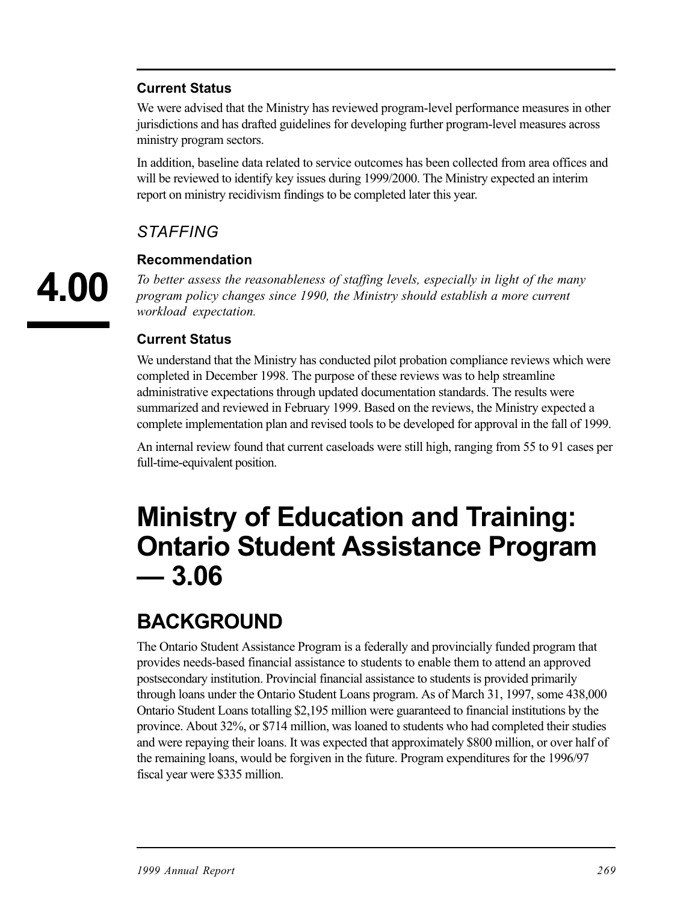#### **Current Status**

We were advised that the Ministry has reviewed program-level performance measures in other jurisdictions and has drafted guidelines for developing further program-level measures across ministry program sectors.

In addition, baseline data related to service outcomes has been collected from area offices and will be reviewed to identify key issues during 1999/2000. The Ministry expected an interim report on ministry recidivism findings to be completed later this year.

### *STAFFING*

#### **Recommendation**

*To better assess the reasonableness of staffing levels, especially in light of the many program policy changes since 1990, the Ministry should establish a more current workload expectation.* 

#### **Current Status**

We understand that the Ministry has conducted pilot probation compliance reviews which were completed in December 1998. The purpose of these reviews was to help streamline administrative expectations through updated documentation standards. The results were summarized and reviewed in February 1999. Based on the reviews, the Ministry expected a complete implementation plan and revised tools to be developed for approval in the fall of 1999.

An internal review found that current caseloads were still high, ranging from 55 to 91 cases per full-time-equivalent position.

# **Ministry of Education and Training: Ontario Student Assistance Program — 3.06**

# **BACKGROUND**

The Ontario Student Assistance Program is a federally and provincially funded program that provides needs-based financial assistance to students to enable them to attend an approved postsecondary institution. Provincial financial assistance to students is provided primarily through loans under the Ontario Student Loans program. As of March 31, 1997, some 438,000 Ontario Student Loans totalling \$2,195 million were guaranteed to financial institutions by the province. About 32%, or \$714 million, was loaned to students who had completed their studies and were repaying their loans. It was expected that approximately \$800 million, or over half of the remaining loans, would be forgiven in the future. Program expenditures for the 1996/97 fiscal year were \$335 million.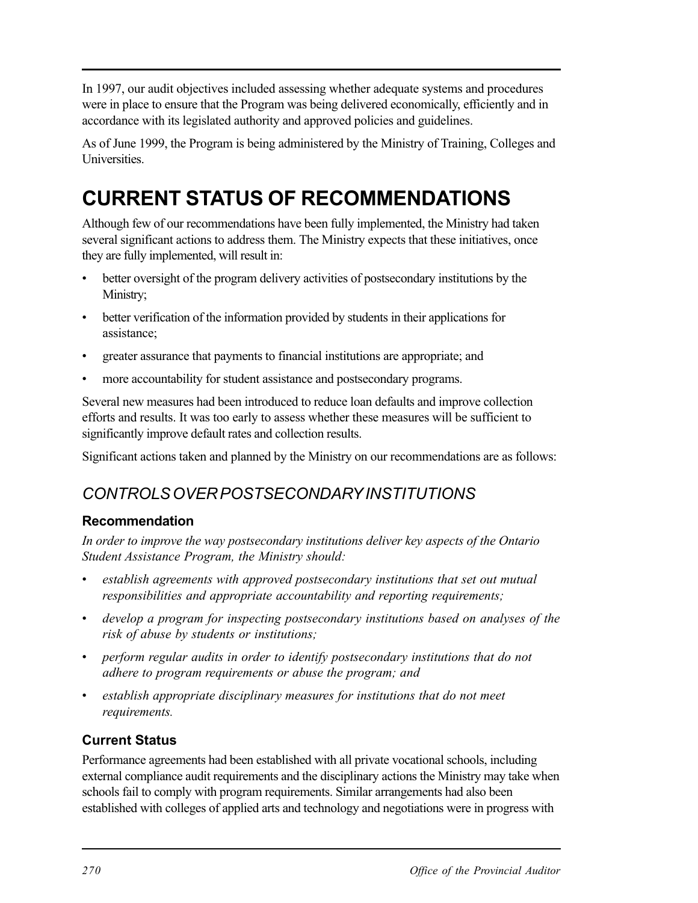In 1997, our audit objectives included assessing whether adequate systems and procedures were in place to ensure that the Program was being delivered economically, efficiently and in accordance with its legislated authority and approved policies and guidelines.

As of June 1999, the Program is being administered by the Ministry of Training, Colleges and Universities.

# **CURRENT STATUS OF RECOMMENDATIONS**

Although few of our recommendations have been fully implemented, the Ministry had taken several significant actions to address them. The Ministry expects that these initiatives, once they are fully implemented, will result in:

- better oversight of the program delivery activities of postsecondary institutions by the Ministry;
- better verification of the information provided by students in their applications for assistance;
- greater assurance that payments to financial institutions are appropriate; and
- more accountability for student assistance and postsecondary programs.

Several new measures had been introduced to reduce loan defaults and improve collection efforts and results. It was too early to assess whether these measures will be sufficient to significantly improve default rates and collection results.

Significant actions taken and planned by the Ministry on our recommendations are as follows:

# *CONTROLS OVER POSTSECONDARY INSTITUTIONS*

#### **Recommendation**

*In order to improve the way postsecondary institutions deliver key aspects of the Ontario Student Assistance Program, the Ministry should:* 

- establish agreements with approved postsecondary institutions that set out mutual *responsibilities and appropriate accountability and reporting requirements;*
- develop a program for inspecting postsecondary institutions based on analyses of the *risk of abuse by students or institutions;*
- *• perform regular audits in order to identify postsecondary institutions that do not adhere to program requirements or abuse the program; and*
- establish appropriate disciplinary measures for institutions that do not meet *requirements.*

### **Current Status**

Performance agreements had been established with all private vocational schools, including external compliance audit requirements and the disciplinary actions the Ministry may take when schools fail to comply with program requirements. Similar arrangements had also been established with colleges of applied arts and technology and negotiations were in progress with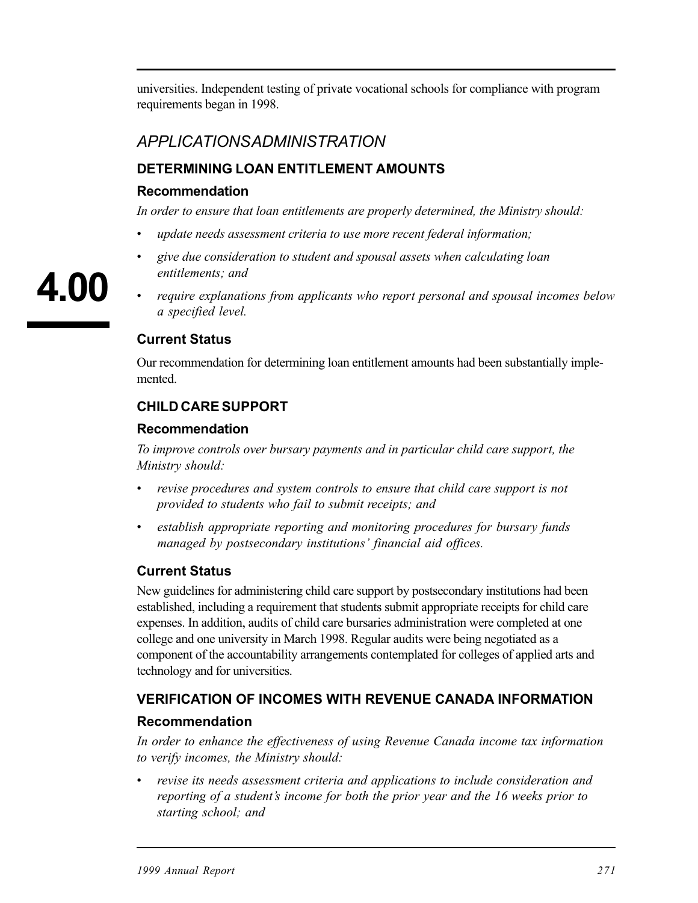universities. Independent testing of private vocational schools for compliance with program requirements began in 1998.

## *APPLICATIONS ADMINISTRATION*

#### **DETERMINING LOAN ENTITLEMENT AMOUNTS**

#### **Recommendation**

*In order to ensure that loan entitlements are properly determined, the Ministry should:* 

- *update needs assessment criteria to use more recent federal information;*
- *• give due consideration to student and spousal assets when calculating loan entitlements; and*
- *• require explanations from applicants who report personal and spousal incomes below a specified level.*

#### **Current Status**

Our recommendation for determining loan entitlement amounts had been substantially implemented.

#### **CHILD CARE SUPPORT**

#### **Recommendation**

*To improve controls over bursary payments and in particular child care support, the Ministry should:* 

- *revise procedures and system controls to ensure that child care support is not provided to students who fail to submit receipts; and*
- establish appropriate reporting and monitoring procedures for bursary funds *managed by postsecondary institutions' financial aid offices.*

#### **Current Status**

New guidelines for administering child care support by postsecondary institutions had been established, including a requirement that students submit appropriate receipts for child care expenses. In addition, audits of child care bursaries administration were completed at one college and one university in March 1998. Regular audits were being negotiated as a component of the accountability arrangements contemplated for colleges of applied arts and technology and for universities.

# **VERIFICATION OF INCOMES WITH REVENUE CANADA INFORMATION**

#### **Recommendation**

*In order to enhance the effectiveness of using Revenue Canada income tax information to verify incomes, the Ministry should:* 

*• revise its needs assessment criteria and applications to include consideration and reporting of a student's income for both the prior year and the 16 weeks prior to starting school; and*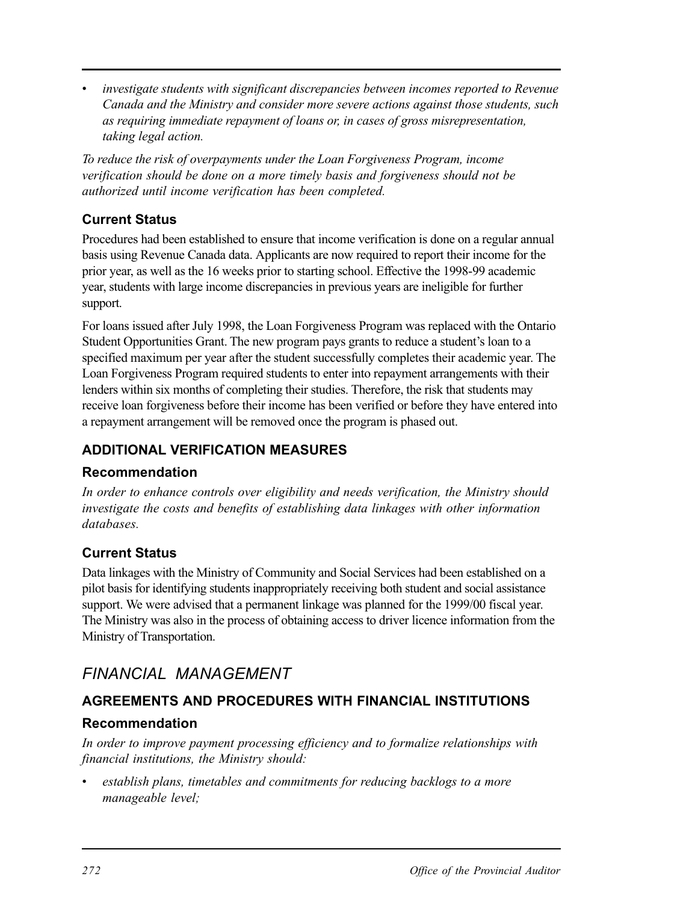*investigate students with significant discrepancies between incomes reported to Revenue Canada and the Ministry and consider more severe actions against those students, such as requiring immediate repayment of loans or, in cases of gross misrepresentation, taking legal action.* 

*To reduce the risk of overpayments under the Loan Forgiveness Program, income verification should be done on a more timely basis and forgiveness should not be authorized until income verification has been completed.* 

### **Current Status**

Procedures had been established to ensure that income verification is done on a regular annual basis using Revenue Canada data. Applicants are now required to report their income for the prior year, as well as the 16 weeks prior to starting school. Effective the 1998-99 academic year, students with large income discrepancies in previous years are ineligible for further support.

For loans issued after July 1998, the Loan Forgiveness Program was replaced with the Ontario Student Opportunities Grant. The new program pays grants to reduce a student's loan to a specified maximum per year after the student successfully completes their academic year. The Loan Forgiveness Program required students to enter into repayment arrangements with their lenders within six months of completing their studies. Therefore, the risk that students may receive loan forgiveness before their income has been verified or before they have entered into a repayment arrangement will be removed once the program is phased out.

### **ADDITIONAL VERIFICATION MEASURES**

#### **Recommendation**

*In order to enhance controls over eligibility and needs verification, the Ministry should investigate the costs and benefits of establishing data linkages with other information databases.* 

#### **Current Status**

Data linkages with the Ministry of Community and Social Services had been established on a pilot basis for identifying students inappropriately receiving both student and social assistance support. We were advised that a permanent linkage was planned for the 1999/00 fiscal year. The Ministry was also in the process of obtaining access to driver licence information from the Ministry of Transportation.

# *FINANCIAL MANAGEMENT*

### **AGREEMENTS AND PROCEDURES WITH FINANCIAL INSTITUTIONS**

### **Recommendation**

*In order to improve payment processing efficiency and to formalize relationships with financial institutions, the Ministry should:* 

establish plans, timetables and commitments for reducing backlogs to a more *manageable level;*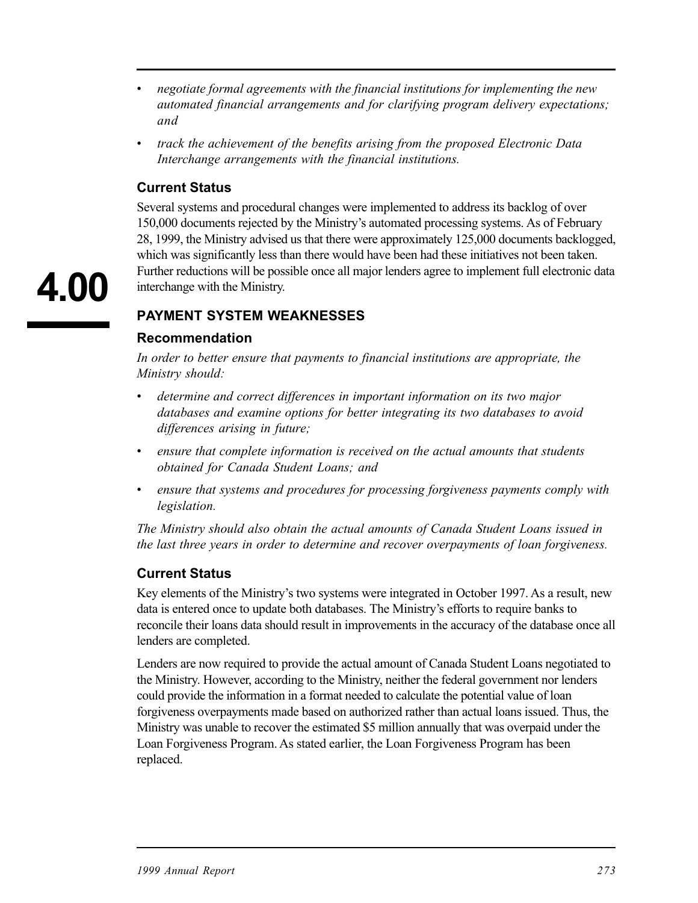- *• negotiate formal agreements with the financial institutions for implementing the new automated financial arrangements and for clarifying program delivery expectations; and*
- *track the achievement of the benefits arising from the proposed Electronic Data Interchange arrangements with the financial institutions.*

#### **Current Status**

Several systems and procedural changes were implemented to address its backlog of over 150,000 documents rejected by the Ministry's automated processing systems. As of February 28, 1999, the Ministry advised us that there were approximately 125,000 documents backlogged, which was significantly less than there would have been had these initiatives not been taken. Further reductions will be possible once all major lenders agree to implement full electronic data interchange with the Ministry.

#### **PAYMENT SYSTEM WEAKNESSES**

#### **Recommendation**

*In order to better ensure that payments to financial institutions are appropriate, the Ministry should:* 

- *• determine and correct differences in important information on its two major databases and examine options for better integrating its two databases to avoid differences arising in future;*
- ensure that complete information is received on the actual amounts that students *obtained for Canada Student Loans; and*
- ensure that systems and procedures for processing forgiveness payments comply with *legislation.*

*The Ministry should also obtain the actual amounts of Canada Student Loans issued in the last three years in order to determine and recover overpayments of loan forgiveness.* 

#### **Current Status**

Key elements of the Ministry's two systems were integrated in October 1997. As a result, new data is entered once to update both databases. The Ministry's efforts to require banks to reconcile their loans data should result in improvements in the accuracy of the database once all lenders are completed.

Lenders are now required to provide the actual amount of Canada Student Loans negotiated to the Ministry. However, according to the Ministry, neither the federal government nor lenders could provide the information in a format needed to calculate the potential value of loan forgiveness overpayments made based on authorized rather than actual loans issued. Thus, the Ministry was unable to recover the estimated \$5 million annually that was overpaid under the Loan Forgiveness Program. As stated earlier, the Loan Forgiveness Program has been replaced.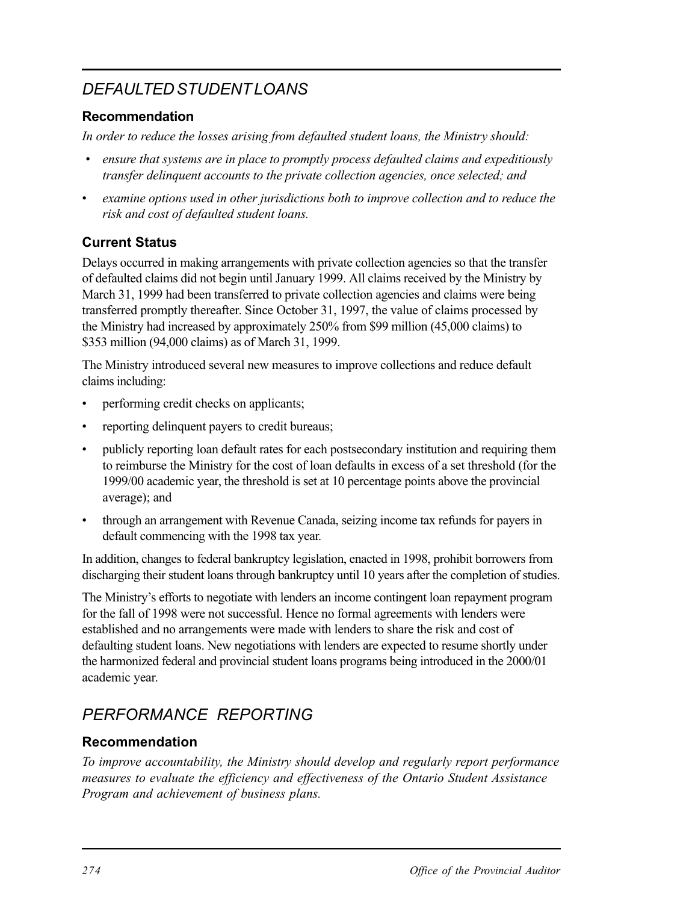# *DEFAULTED STUDENT LOANS*

#### **Recommendation**

*In order to reduce the losses arising from defaulted student loans, the Ministry should:* 

- • *ensure that systems are in place to promptly process defaulted claims and expeditiously transfer delinquent accounts to the private collection agencies, once selected; and*
- *• examine options used in other jurisdictions both to improve collection and to reduce the risk and cost of defaulted student loans.*

#### **Current Status**

Delays occurred in making arrangements with private collection agencies so that the transfer of defaulted claims did not begin until January 1999. All claims received by the Ministry by March 31, 1999 had been transferred to private collection agencies and claims were being transferred promptly thereafter. Since October 31, 1997, the value of claims processed by the Ministry had increased by approximately 250% from \$99 million (45,000 claims) to \$353 million (94,000 claims) as of March 31, 1999.

The Ministry introduced several new measures to improve collections and reduce default claims including:

- performing credit checks on applicants;
- reporting delinquent payers to credit bureaus;
- publicly reporting loan default rates for each postsecondary institution and requiring them to reimburse the Ministry for the cost of loan defaults in excess of a set threshold (for the 1999/00 academic year, the threshold is set at 10 percentage points above the provincial average); and
- through an arrangement with Revenue Canada, seizing income tax refunds for payers in default commencing with the 1998 tax year.

In addition, changes to federal bankruptcy legislation, enacted in 1998, prohibit borrowers from discharging their student loans through bankruptcy until 10 years after the completion of studies.

The Ministry's efforts to negotiate with lenders an income contingent loan repayment program for the fall of 1998 were not successful. Hence no formal agreements with lenders were established and no arrangements were made with lenders to share the risk and cost of defaulting student loans. New negotiations with lenders are expected to resume shortly under the harmonized federal and provincial student loans programs being introduced in the 2000/01 academic year.

# *PERFORMANCE REPORTING*

### **Recommendation**

*To improve accountability, the Ministry should develop and regularly report performance measures to evaluate the efficiency and effectiveness of the Ontario Student Assistance Program and achievement of business plans.*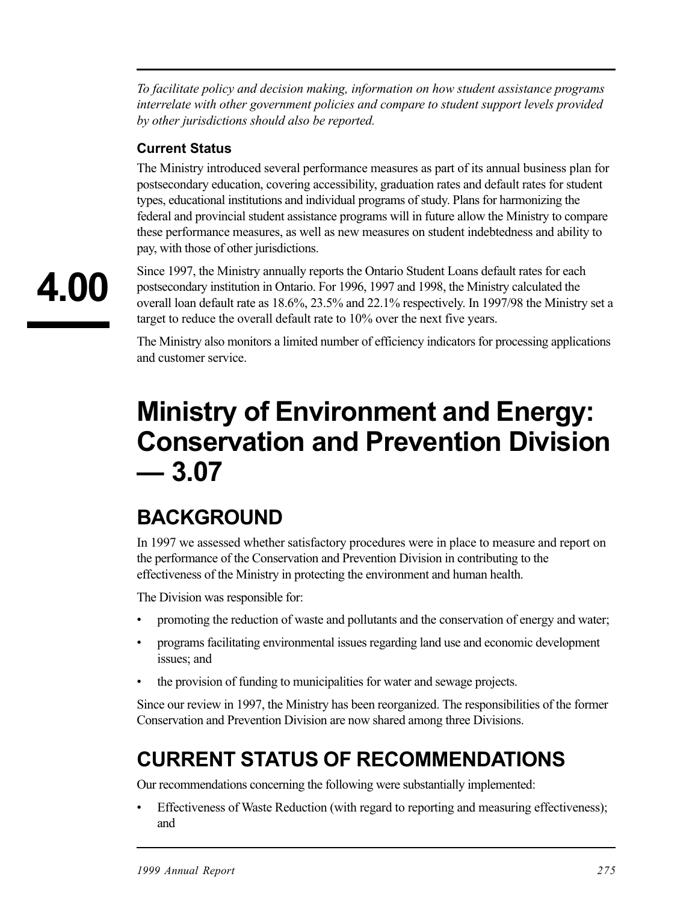*To facilitate policy and decision making, information on how student assistance programs interrelate with other government policies and compare to student support levels provided by other jurisdictions should also be reported.* 

#### **Current Status**

The Ministry introduced several performance measures as part of its annual business plan for postsecondary education, covering accessibility, graduation rates and default rates for student types, educational institutions and individual programs of study. Plans for harmonizing the federal and provincial student assistance programs will in future allow the Ministry to compare these performance measures, as well as new measures on student indebtedness and ability to pay, with those of other jurisdictions.

Since 1997, the Ministry annually reports the Ontario Student Loans default rates for each postsecondary institution in Ontario. For 1996, 1997 and 1998, the Ministry calculated the overall loan default rate as 18.6%, 23.5% and 22.1% respectively. In 1997/98 the Ministry set a target to reduce the overall default rate to 10% over the next five years.

The Ministry also monitors a limited number of efficiency indicators for processing applications and customer service.

# **Ministry of Environment and Energy: Conservation and Prevention Division — 3.07**

# **BACKGROUND**

In 1997 we assessed whether satisfactory procedures were in place to measure and report on the performance of the Conservation and Prevention Division in contributing to the effectiveness of the Ministry in protecting the environment and human health.

The Division was responsible for:

- promoting the reduction of waste and pollutants and the conservation of energy and water;
- programs facilitating environmental issues regarding land use and economic development issues; and
- the provision of funding to municipalities for water and sewage projects.

Since our review in 1997, the Ministry has been reorganized. The responsibilities of the former Conservation and Prevention Division are now shared among three Divisions.

# **CURRENT STATUS OF RECOMMENDATIONS**

Our recommendations concerning the following were substantially implemented:

Effectiveness of Waste Reduction (with regard to reporting and measuring effectiveness); and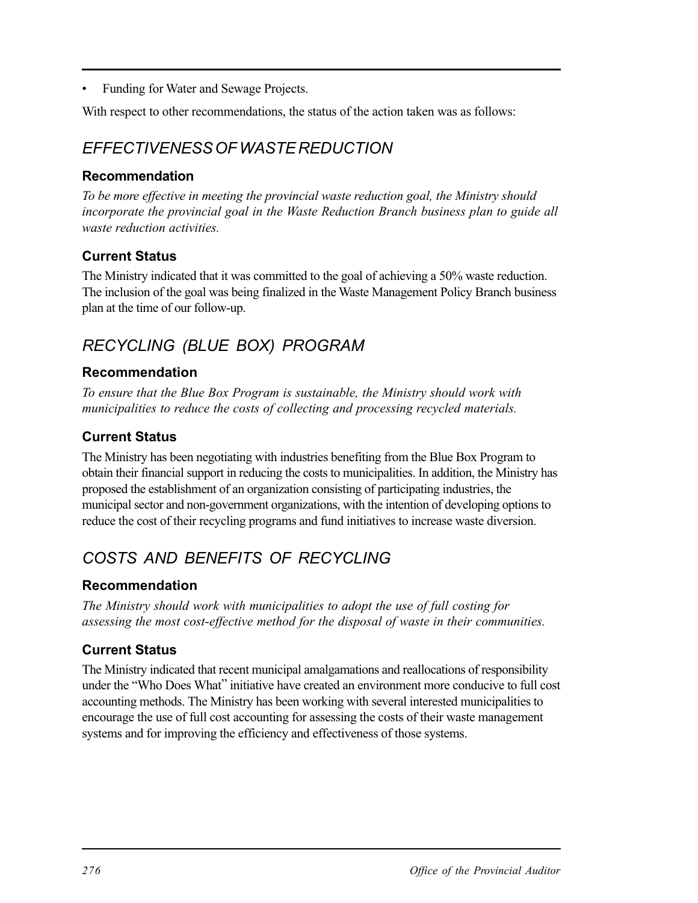• Funding for Water and Sewage Projects.

With respect to other recommendations, the status of the action taken was as follows:

## *EFFECTIVENESS OF WASTE REDUCTION*

#### **Recommendation**

*To be more effective in meeting the provincial waste reduction goal, the Ministry should incorporate the provincial goal in the Waste Reduction Branch business plan to guide all waste reduction activities.* 

#### **Current Status**

The Ministry indicated that it was committed to the goal of achieving a 50% waste reduction. The inclusion of the goal was being finalized in the Waste Management Policy Branch business plan at the time of our follow-up.

## *RECYCLING (BLUE BOX) PROGRAM*

#### **Recommendation**

*To ensure that the Blue Box Program is sustainable, the Ministry should work with municipalities to reduce the costs of collecting and processing recycled materials.* 

#### **Current Status**

The Ministry has been negotiating with industries benefiting from the Blue Box Program to obtain their financial support in reducing the costs to municipalities. In addition, the Ministry has proposed the establishment of an organization consisting of participating industries, the municipal sector and non-government organizations, with the intention of developing options to reduce the cost of their recycling programs and fund initiatives to increase waste diversion.

## *COSTS AND BENEFITS OF RECYCLING*

#### **Recommendation**

*The Ministry should work with municipalities to adopt the use of full costing for assessing the most cost-effective method for the disposal of waste in their communities.* 

#### **Current Status**

The Ministry indicated that recent municipal amalgamations and reallocations of responsibility under the "Who Does What" initiative have created an environment more conducive to full cost accounting methods. The Ministry has been working with several interested municipalities to encourage the use of full cost accounting for assessing the costs of their waste management systems and for improving the efficiency and effectiveness of those systems.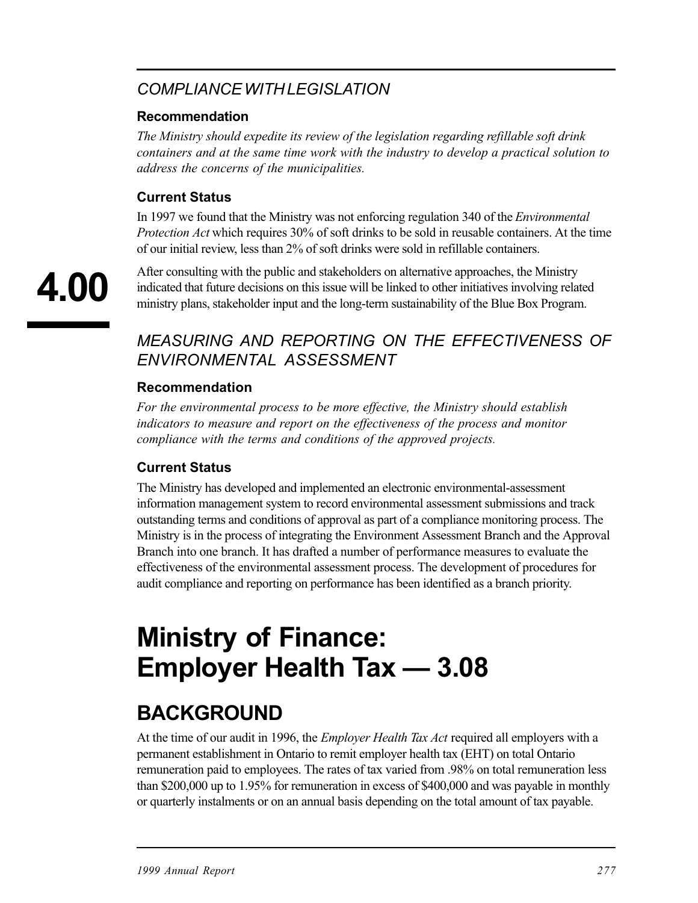# *COMPLIANCE WITH LEGISLATION*

#### **Recommendation**

*The Ministry should expedite its review of the legislation regarding refillable soft drink containers and at the same time work with the industry to develop a practical solution to address the concerns of the municipalities.* 

#### **Current Status**

In 1997 we found that the Ministry was not enforcing regulation 340 of the *Environmental Protection Act* which requires 30% of soft drinks to be sold in reusable containers. At the time of our initial review, less than 2% of soft drinks were sold in refillable containers.

**4.00** 

After consulting with the public and stakeholders on alternative approaches, the Ministry indicated that future decisions on this issue will be linked to other initiatives involving related ministry plans, stakeholder input and the long-term sustainability of the Blue Box Program.

## *MEASURING AND REPORTING ON THE EFFECTIVENESS OF ENVIRONMENTAL ASSESSMENT*

#### **Recommendation**

*For the environmental process to be more effective, the Ministry should establish indicators to measure and report on the effectiveness of the process and monitor compliance with the terms and conditions of the approved projects.* 

#### **Current Status**

The Ministry has developed and implemented an electronic environmental-assessment information management system to record environmental assessment submissions and track outstanding terms and conditions of approval as part of a compliance monitoring process. The Ministry is in the process of integrating the Environment Assessment Branch and the Approval Branch into one branch. It has drafted a number of performance measures to evaluate the effectiveness of the environmental assessment process. The development of procedures for audit compliance and reporting on performance has been identified as a branch priority.

# **Ministry of Finance: Employer Health Tax — 3.08**

# **BACKGROUND**

At the time of our audit in 1996, the *Employer Health Tax Act* required all employers with a permanent establishment in Ontario to remit employer health tax (EHT) on total Ontario remuneration paid to employees. The rates of tax varied from .98% on total remuneration less than \$200,000 up to 1.95% for remuneration in excess of \$400,000 and was payable in monthly or quarterly instalments or on an annual basis depending on the total amount of tax payable.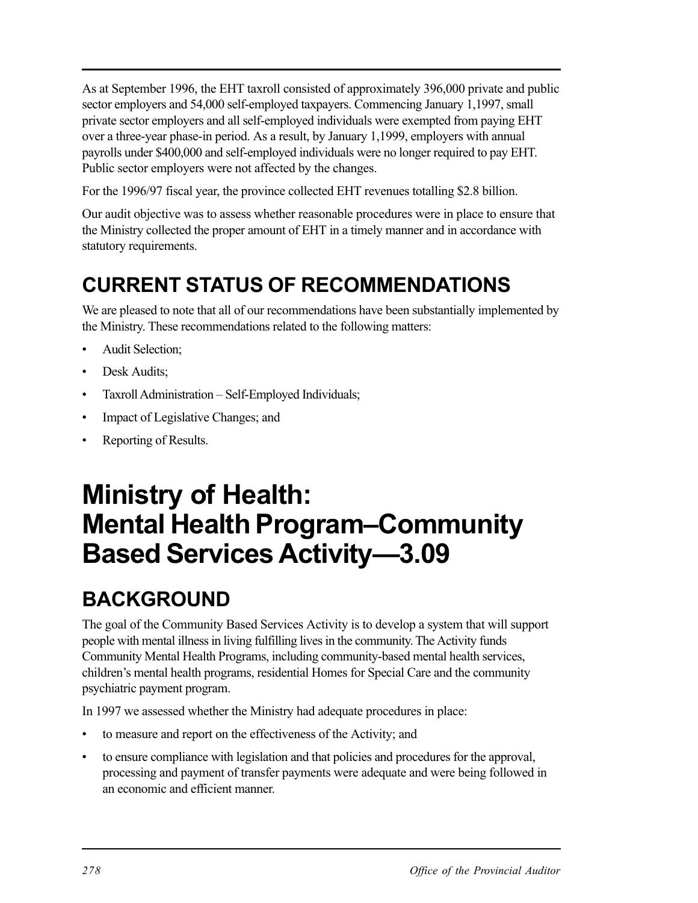As at September 1996, the EHT taxroll consisted of approximately 396,000 private and public sector employers and 54,000 self-employed taxpayers. Commencing January 1,1997, small private sector employers and all self-employed individuals were exempted from paying EHT over a three-year phase-in period. As a result, by January 1,1999, employers with annual payrolls under \$400,000 and self-employed individuals were no longer required to pay EHT. Public sector employers were not affected by the changes.

For the 1996/97 fiscal year, the province collected EHT revenues totalling \$2.8 billion.

Our audit objective was to assess whether reasonable procedures were in place to ensure that the Ministry collected the proper amount of EHT in a timely manner and in accordance with statutory requirements.

# **CURRENT STATUS OF RECOMMENDATIONS**

We are pleased to note that all of our recommendations have been substantially implemented by the Ministry. These recommendations related to the following matters:

- Audit Selection;
- Desk Audits:
- Taxroll Administration Self-Employed Individuals;
- Impact of Legislative Changes; and
- Reporting of Results.

# **Ministry of Health: Mental Health Program–Community Based Services Activity—3.09**

# **BACKGROUND**

The goal of the Community Based Services Activity is to develop a system that will support people with mental illness in living fulfilling lives in the community. The Activity funds Community Mental Health Programs, including community-based mental health services, children's mental health programs, residential Homes for Special Care and the community psychiatric payment program.

In 1997 we assessed whether the Ministry had adequate procedures in place:

- to measure and report on the effectiveness of the Activity; and
- to ensure compliance with legislation and that policies and procedures for the approval, processing and payment of transfer payments were adequate and were being followed in an economic and efficient manner.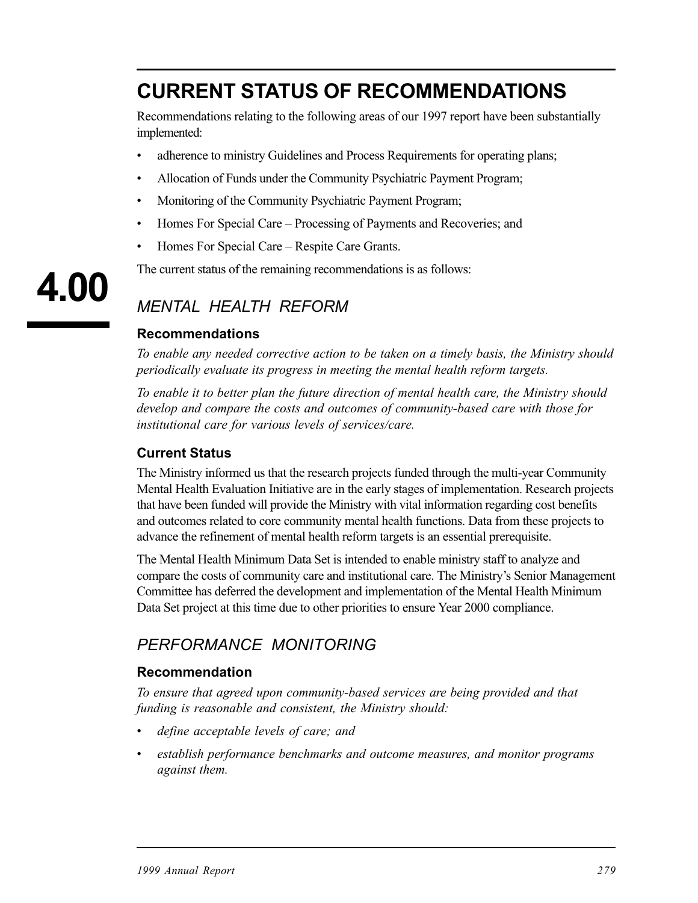# **CURRENT STATUS OF RECOMMENDATIONS**

Recommendations relating to the following areas of our 1997 report have been substantially implemented:

- adherence to ministry Guidelines and Process Requirements for operating plans;
- Allocation of Funds under the Community Psychiatric Payment Program;
- Monitoring of the Community Psychiatric Payment Program;
- Homes For Special Care Processing of Payments and Recoveries; and
- Homes For Special Care Respite Care Grants.

The current status of the remaining recommendations is as follows:

# *MENTAL HEALTH REFORM*

#### **Recommendations**

**4.00** 

*To enable any needed corrective action to be taken on a timely basis, the Ministry should periodically evaluate its progress in meeting the mental health reform targets.* 

*To enable it to better plan the future direction of mental health care, the Ministry should develop and compare the costs and outcomes of community-based care with those for institutional care for various levels of services/care.* 

#### **Current Status**

The Ministry informed us that the research projects funded through the multi-year Community Mental Health Evaluation Initiative are in the early stages of implementation. Research projects that have been funded will provide the Ministry with vital information regarding cost benefits and outcomes related to core community mental health functions. Data from these projects to advance the refinement of mental health reform targets is an essential prerequisite.

The Mental Health Minimum Data Set is intended to enable ministry staff to analyze and compare the costs of community care and institutional care. The Ministry's Senior Management Committee has deferred the development and implementation of the Mental Health Minimum Data Set project at this time due to other priorities to ensure Year 2000 compliance.

# *PERFORMANCE MONITORING*

#### **Recommendation**

*To ensure that agreed upon community-based services are being provided and that funding is reasonable and consistent, the Ministry should:* 

- *define acceptable levels of care; and*
- *• establish performance benchmarks and outcome measures, and monitor programs against them.*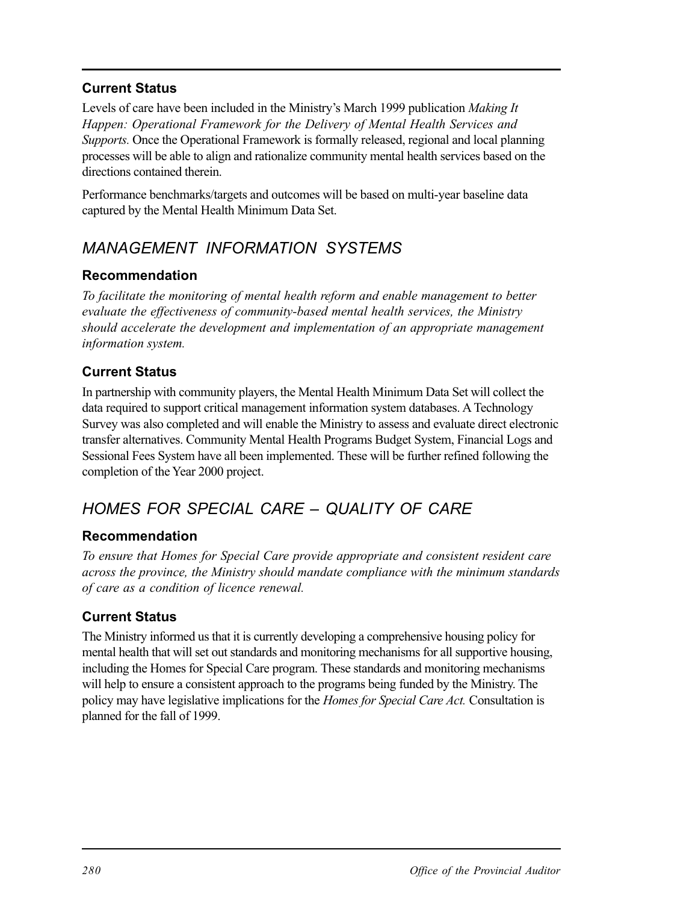#### **Current Status**

Levels of care have been included in the Ministry's March 1999 publication *Making It Happen: Operational Framework for the Delivery of Mental Health Services and Supports.* Once the Operational Framework is formally released, regional and local planning processes will be able to align and rationalize community mental health services based on the directions contained therein.

Performance benchmarks/targets and outcomes will be based on multi-year baseline data captured by the Mental Health Minimum Data Set.

# *MANAGEMENT INFORMATION SYSTEMS*

#### **Recommendation**

*To facilitate the monitoring of mental health reform and enable management to better evaluate the effectiveness of community-based mental health services, the Ministry should accelerate the development and implementation of an appropriate management information system.* 

#### **Current Status**

In partnership with community players, the Mental Health Minimum Data Set will collect the data required to support critical management information system databases. A Technology Survey was also completed and will enable the Ministry to assess and evaluate direct electronic transfer alternatives. Community Mental Health Programs Budget System, Financial Logs and Sessional Fees System have all been implemented. These will be further refined following the completion of the Year 2000 project.

# *HOMES FOR SPECIAL CARE – QUALITY OF CARE*

#### **Recommendation**

*To ensure that Homes for Special Care provide appropriate and consistent resident care across the province, the Ministry should mandate compliance with the minimum standards of care as a condition of licence renewal.* 

#### **Current Status**

The Ministry informed us that it is currently developing a comprehensive housing policy for mental health that will set out standards and monitoring mechanisms for all supportive housing, including the Homes for Special Care program. These standards and monitoring mechanisms will help to ensure a consistent approach to the programs being funded by the Ministry. The policy may have legislative implications for the *Homes for Special Care Act.* Consultation is planned for the fall of 1999.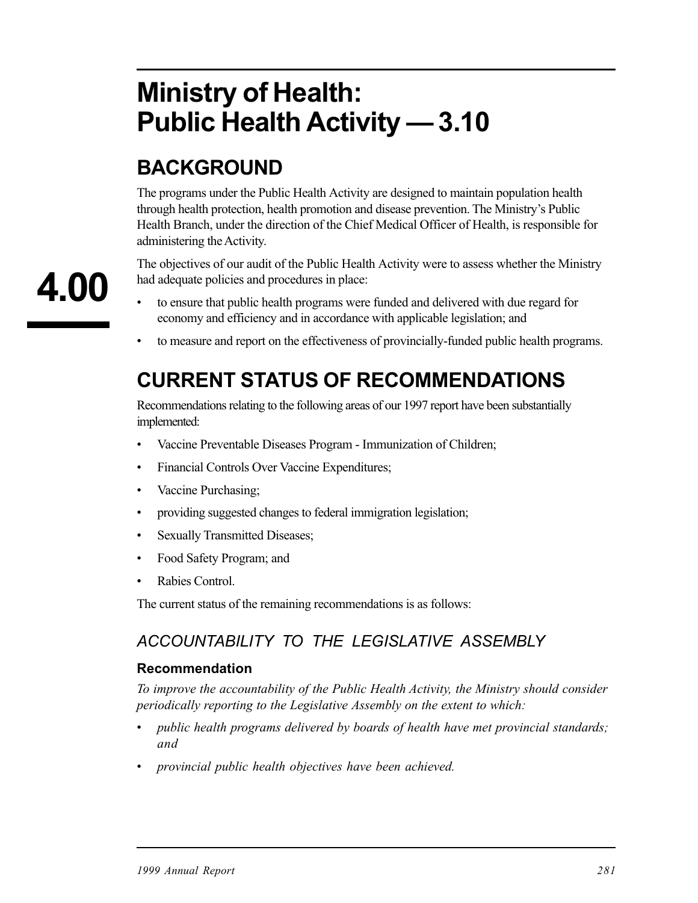# **Ministry of Health: Public Health Activity — 3.10**

# **BACKGROUND**

The programs under the Public Health Activity are designed to maintain population health through health protection, health promotion and disease prevention. The Ministry's Public Health Branch, under the direction of the Chief Medical Officer of Health, is responsible for administering the Activity.

The objectives of our audit of the Public Health Activity were to assess whether the Ministry had adequate policies and procedures in place:

- to ensure that public health programs were funded and delivered with due regard for economy and efficiency and in accordance with applicable legislation; and
- to measure and report on the effectiveness of provincially-funded public health programs.

# **CURRENT STATUS OF RECOMMENDATIONS**

Recommendations relating to the following areas of our 1997 report have been substantially implemented:

- Vaccine Preventable Diseases Program Immunization of Children;
- Financial Controls Over Vaccine Expenditures;
- Vaccine Purchasing;
- providing suggested changes to federal immigration legislation;
- Sexually Transmitted Diseases;
- Food Safety Program; and
- Rabies Control.

The current status of the remaining recommendations is as follows:

## *ACCOUNTABILITY TO THE LEGISLATIVE ASSEMBLY*

#### **Recommendation**

*To improve the accountability of the Public Health Activity, the Ministry should consider periodically reporting to the Legislative Assembly on the extent to which:* 

- *• public health programs delivered by boards of health have met provincial standards; and*
- *provincial public health objectives have been achieved.*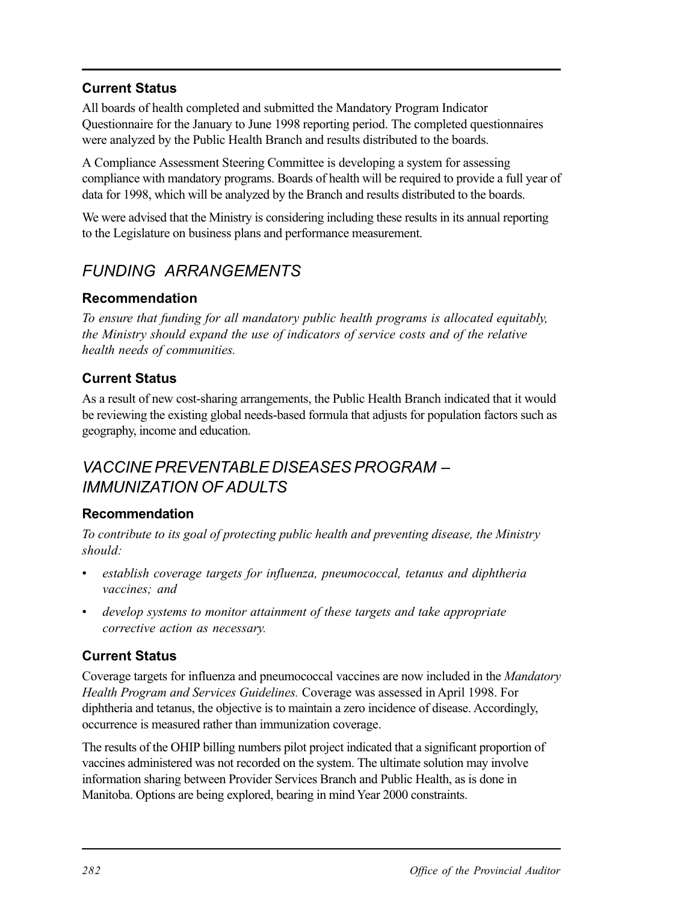#### **Current Status**

All boards of health completed and submitted the Mandatory Program Indicator Questionnaire for the January to June 1998 reporting period. The completed questionnaires were analyzed by the Public Health Branch and results distributed to the boards.

A Compliance Assessment Steering Committee is developing a system for assessing compliance with mandatory programs. Boards of health will be required to provide a full year of data for 1998, which will be analyzed by the Branch and results distributed to the boards.

We were advised that the Ministry is considering including these results in its annual reporting to the Legislature on business plans and performance measurement.

# *FUNDING ARRANGEMENTS*

#### **Recommendation**

*To ensure that funding for all mandatory public health programs is allocated equitably, the Ministry should expand the use of indicators of service costs and of the relative health needs of communities.* 

#### **Current Status**

As a result of new cost-sharing arrangements, the Public Health Branch indicated that it would be reviewing the existing global needs-based formula that adjusts for population factors such as geography, income and education.

## *VACCINE PREVENTABLE DISEASES PROGRAM – IMMUNIZATION OF ADULTS*

#### **Recommendation**

*To contribute to its goal of protecting public health and preventing disease, the Ministry should:* 

- establish coverage targets for influenza, pneumococcal, tetanus and diphtheria *vaccines; and*
- develop systems to monitor attainment of these targets and take appropriate *corrective action as necessary.*

#### **Current Status**

Coverage targets for influenza and pneumococcal vaccines are now included in the *Mandatory Health Program and Services Guidelines.* Coverage was assessed in April 1998. For diphtheria and tetanus, the objective is to maintain a zero incidence of disease. Accordingly, occurrence is measured rather than immunization coverage.

The results of the OHIP billing numbers pilot project indicated that a significant proportion of vaccines administered was not recorded on the system. The ultimate solution may involve information sharing between Provider Services Branch and Public Health, as is done in Manitoba. Options are being explored, bearing in mind Year 2000 constraints.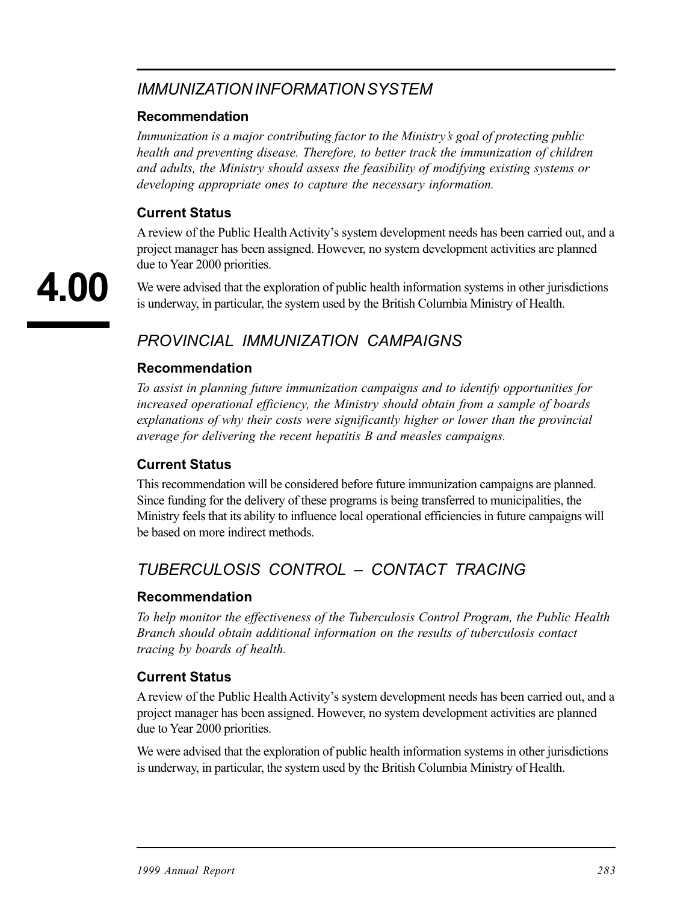## *IMMUNIZATION INFORMATION SYSTEM*

#### **Recommendation**

*Immunization is a major contributing factor to the Ministry's goal of protecting public health and preventing disease. Therefore, to better track the immunization of children and adults, the Ministry should assess the feasibility of modifying existing systems or developing appropriate ones to capture the necessary information.* 

#### **Current Status**

A review of the Public Health Activity's system development needs has been carried out, and a project manager has been assigned. However, no system development activities are planned due to Year 2000 priorities.

We were advised that the exploration of public health information systems in other jurisdictions is underway, in particular, the system used by the British Columbia Ministry of Health.

# *PROVINCIAL IMMUNIZATION CAMPAIGNS*

#### **Recommendation**

*To assist in planning future immunization campaigns and to identify opportunities for increased operational efficiency, the Ministry should obtain from a sample of boards explanations of why their costs were significantly higher or lower than the provincial average for delivering the recent hepatitis B and measles campaigns.* 

#### **Current Status**

This recommendation will be considered before future immunization campaigns are planned. Since funding for the delivery of these programs is being transferred to municipalities, the Ministry feels that its ability to influence local operational efficiencies in future campaigns will be based on more indirect methods.

# *TUBERCULOSIS CONTROL – CONTACT TRACING*

#### **Recommendation**

*To help monitor the effectiveness of the Tuberculosis Control Program, the Public Health Branch should obtain additional information on the results of tuberculosis contact tracing by boards of health.* 

#### **Current Status**

A review of the Public Health Activity's system development needs has been carried out, and a project manager has been assigned. However, no system development activities are planned due to Year 2000 priorities.

We were advised that the exploration of public health information systems in other jurisdictions is underway, in particular, the system used by the British Columbia Ministry of Health.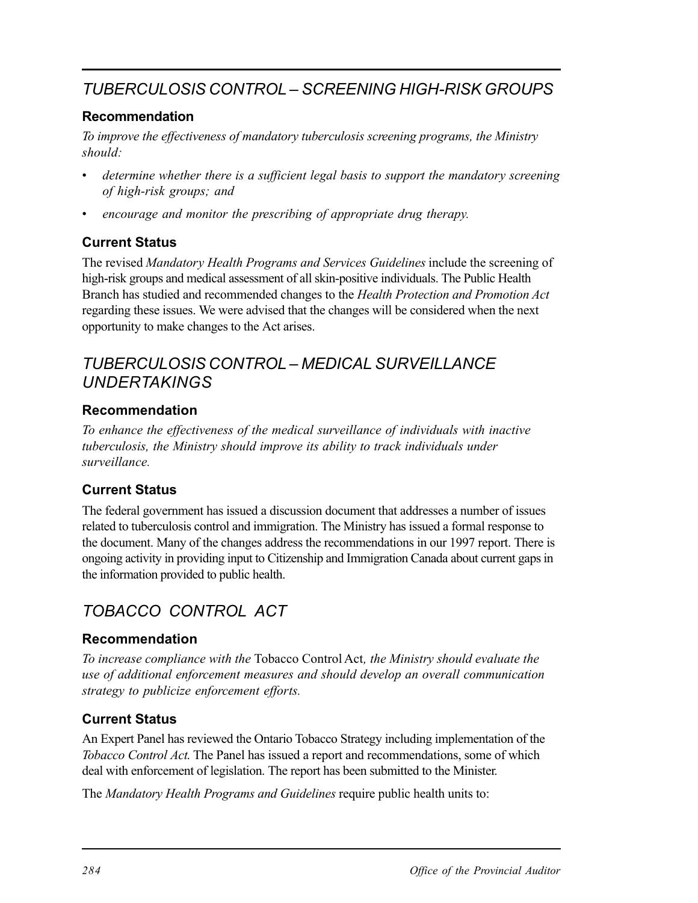# *TUBERCULOSIS CONTROL – SCREENING HIGH-RISK GROUPS*

#### **Recommendation**

*To improve the effectiveness of mandatory tuberculosis screening programs, the Ministry should:* 

- determine whether there is a sufficient legal basis to support the mandatory screening *of high-risk groups; and*
- *encourage and monitor the prescribing of appropriate drug therapy.*

#### **Current Status**

The revised *Mandatory Health Programs and Services Guidelines* include the screening of high-risk groups and medical assessment of all skin-positive individuals. The Public Health Branch has studied and recommended changes to the *Health Protection and Promotion Act*  regarding these issues. We were advised that the changes will be considered when the next opportunity to make changes to the Act arises.

## *TUBERCULOSIS CONTROL – MEDICAL SURVEILLANCE UNDERTAKINGS*

#### **Recommendation**

*To enhance the effectiveness of the medical surveillance of individuals with inactive tuberculosis, the Ministry should improve its ability to track individuals under surveillance.* 

#### **Current Status**

The federal government has issued a discussion document that addresses a number of issues related to tuberculosis control and immigration. The Ministry has issued a formal response to the document. Many of the changes address the recommendations in our 1997 report. There is ongoing activity in providing input to Citizenship and Immigration Canada about current gaps in the information provided to public health.

# *TOBACCO CONTROL ACT*

#### **Recommendation**

*To increase compliance with the* Tobacco Control Act*, the Ministry should evaluate the use of additional enforcement measures and should develop an overall communication strategy to publicize enforcement efforts.* 

#### **Current Status**

An Expert Panel has reviewed the Ontario Tobacco Strategy including implementation of the *Tobacco Control Act*. The Panel has issued a report and recommendations, some of which deal with enforcement of legislation. The report has been submitted to the Minister.

The *Mandatory Health Programs and Guidelines* require public health units to: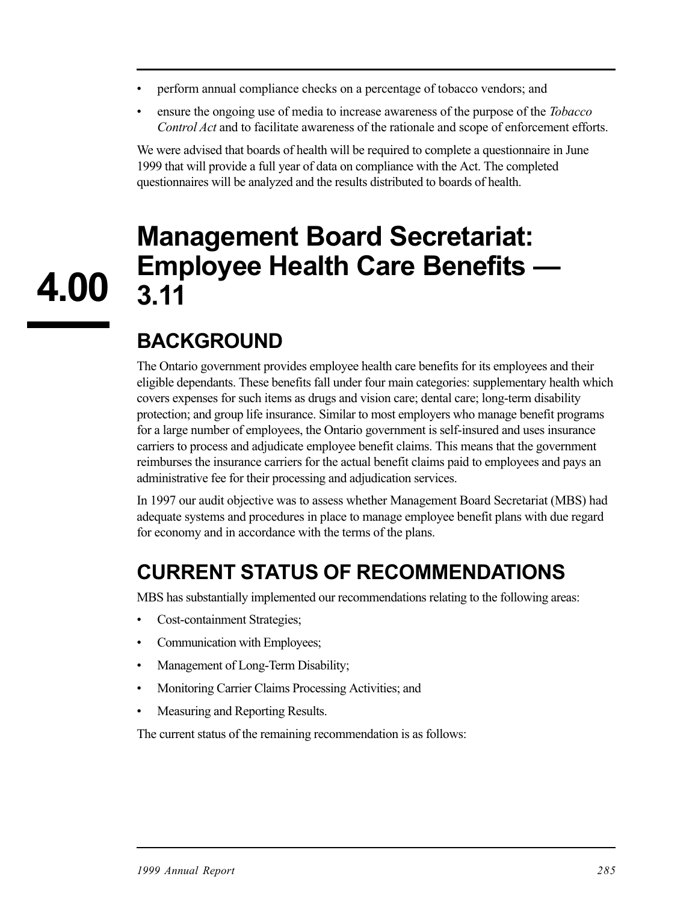- perform annual compliance checks on a percentage of tobacco vendors; and
- ensure the ongoing use of media to increase awareness of the purpose of the *Tobacco Control Act* and to facilitate awareness of the rationale and scope of enforcement efforts.

We were advised that boards of health will be required to complete a questionnaire in June 1999 that will provide a full year of data on compliance with the Act. The completed questionnaires will be analyzed and the results distributed to boards of health.

# **Management Board Secretariat: Employee Health Care Benefits — 3.11**

# **BACKGROUND**

**4.00** 

The Ontario government provides employee health care benefits for its employees and their eligible dependants. These benefits fall under four main categories: supplementary health which covers expenses for such items as drugs and vision care; dental care; long-term disability protection; and group life insurance. Similar to most employers who manage benefit programs for a large number of employees, the Ontario government is self-insured and uses insurance carriers to process and adjudicate employee benefit claims. This means that the government reimburses the insurance carriers for the actual benefit claims paid to employees and pays an administrative fee for their processing and adjudication services.

In 1997 our audit objective was to assess whether Management Board Secretariat (MBS) had adequate systems and procedures in place to manage employee benefit plans with due regard for economy and in accordance with the terms of the plans.

# **CURRENT STATUS OF RECOMMENDATIONS**

MBS has substantially implemented our recommendations relating to the following areas:

- Cost-containment Strategies;
- Communication with Employees;
- Management of Long-Term Disability;
- Monitoring Carrier Claims Processing Activities; and
- Measuring and Reporting Results.

The current status of the remaining recommendation is as follows: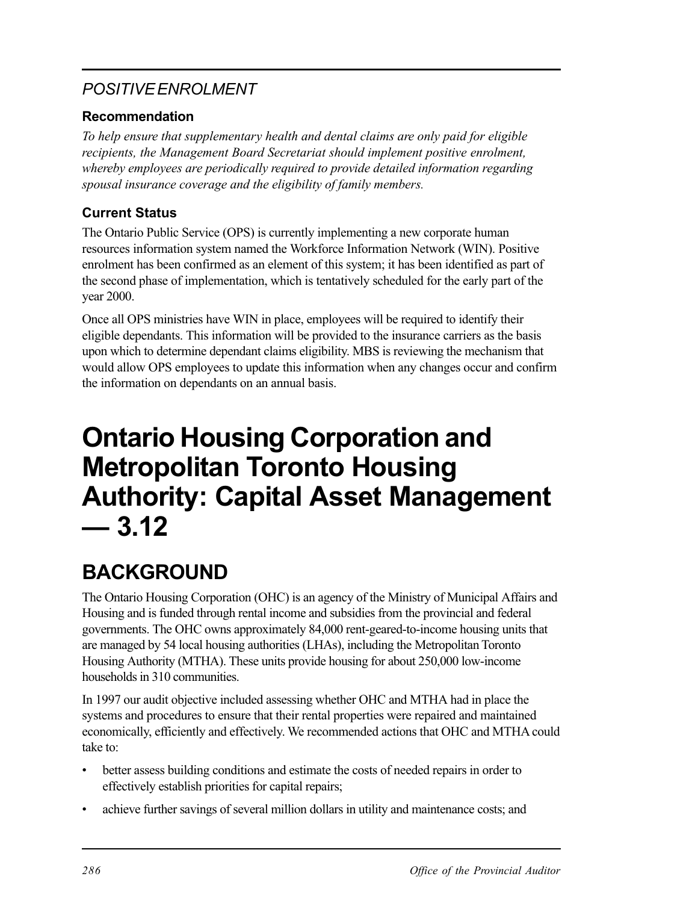# *POSITIVE ENROLMENT*

#### **Recommendation**

*To help ensure that supplementary health and dental claims are only paid for eligible recipients, the Management Board Secretariat should implement positive enrolment, whereby employees are periodically required to provide detailed information regarding spousal insurance coverage and the eligibility of family members.* 

### **Current Status**

The Ontario Public Service (OPS) is currently implementing a new corporate human resources information system named the Workforce Information Network (WIN). Positive enrolment has been confirmed as an element of this system; it has been identified as part of the second phase of implementation, which is tentatively scheduled for the early part of the year 2000.

Once all OPS ministries have WIN in place, employees will be required to identify their eligible dependants. This information will be provided to the insurance carriers as the basis upon which to determine dependant claims eligibility. MBS is reviewing the mechanism that would allow OPS employees to update this information when any changes occur and confirm the information on dependants on an annual basis.

# **Ontario Housing Corporation and Metropolitan Toronto Housing Authority: Capital Asset Management — 3.12**

# **BACKGROUND**

The Ontario Housing Corporation (OHC) is an agency of the Ministry of Municipal Affairs and Housing and is funded through rental income and subsidies from the provincial and federal governments. The OHC owns approximately 84,000 rent-geared-to-income housing units that are managed by 54 local housing authorities (LHAs), including the Metropolitan Toronto Housing Authority (MTHA). These units provide housing for about 250,000 low-income households in 310 communities.

In 1997 our audit objective included assessing whether OHC and MTHA had in place the systems and procedures to ensure that their rental properties were repaired and maintained economically, efficiently and effectively. We recommended actions that OHC and MTHA could take to:

- better assess building conditions and estimate the costs of needed repairs in order to effectively establish priorities for capital repairs;
- achieve further savings of several million dollars in utility and maintenance costs; and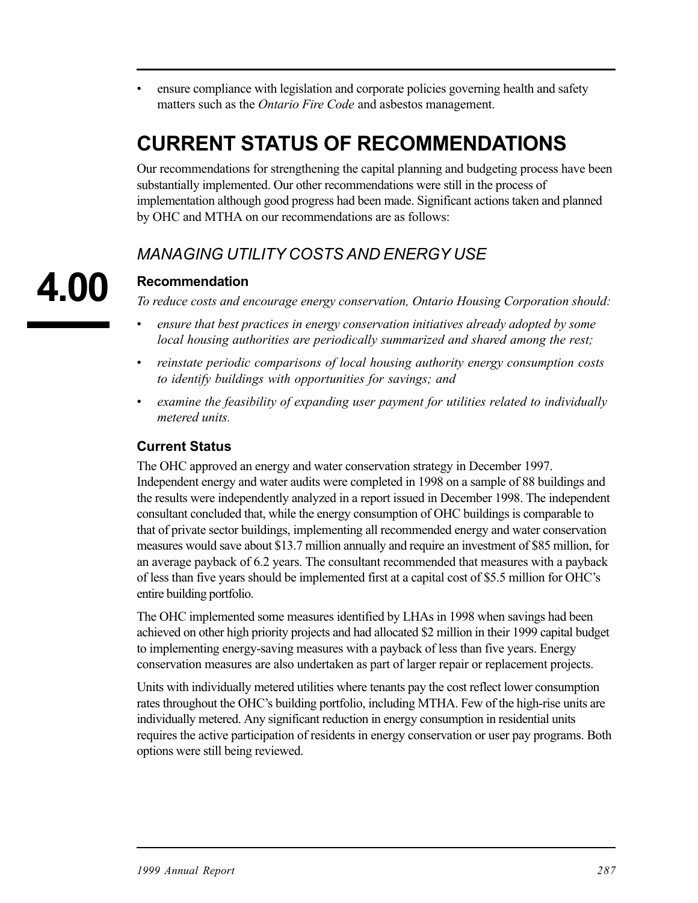ensure compliance with legislation and corporate policies governing health and safety matters such as the *Ontario Fire Code* and asbestos management.

# **CURRENT STATUS OF RECOMMENDATIONS**

Our recommendations for strengthening the capital planning and budgeting process have been substantially implemented. Our other recommendations were still in the process of implementation although good progress had been made. Significant actions taken and planned by OHC and MTHA on our recommendations are as follows:

## *MANAGING UTILITY COSTS AND ENERGY USE*

#### **Recommendation**

*To reduce costs and encourage energy conservation, Ontario Housing Corporation should:* 

- *• ensure that best practices in energy conservation initiatives already adopted by some local housing authorities are periodically summarized and shared among the rest;*
- *• reinstate periodic comparisons of local housing authority energy consumption costs to identify buildings with opportunities for savings; and*
- *• examine the feasibility of expanding user payment for utilities related to individually metered units.*

#### **Current Status**

The OHC approved an energy and water conservation strategy in December 1997. Independent energy and water audits were completed in 1998 on a sample of 88 buildings and the results were independently analyzed in a report issued in December 1998. The independent consultant concluded that, while the energy consumption of OHC buildings is comparable to that of private sector buildings, implementing all recommended energy and water conservation measures would save about \$13.7 million annually and require an investment of \$85 million, for an average payback of 6.2 years. The consultant recommended that measures with a payback of less than five years should be implemented first at a capital cost of \$5.5 million for OHC's entire building portfolio.

The OHC implemented some measures identified by LHAs in 1998 when savings had been achieved on other high priority projects and had allocated \$2 million in their 1999 capital budget to implementing energy-saving measures with a payback of less than five years. Energy conservation measures are also undertaken as part of larger repair or replacement projects.

Units with individually metered utilities where tenants pay the cost reflect lower consumption rates throughout the OHC's building portfolio, including MTHA. Few of the high-rise units are individually metered. Any significant reduction in energy consumption in residential units requires the active participation of residents in energy conservation or user pay programs. Both options were still being reviewed.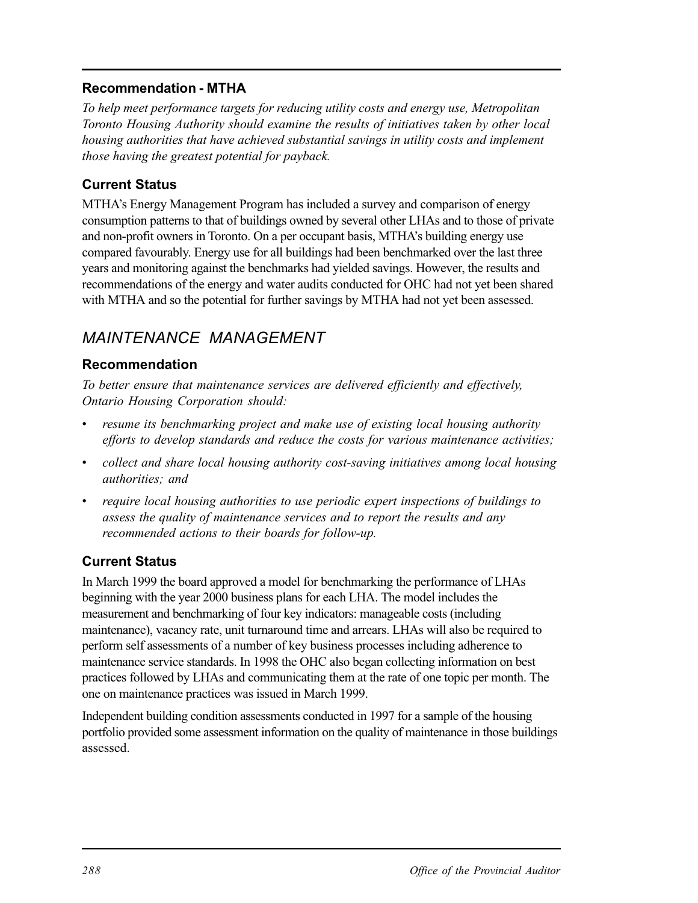#### **Recommendation - MTHA**

*To help meet performance targets for reducing utility costs and energy use, Metropolitan Toronto Housing Authority should examine the results of initiatives taken by other local housing authorities that have achieved substantial savings in utility costs and implement those having the greatest potential for payback.* 

#### **Current Status**

MTHA's Energy Management Program has included a survey and comparison of energy consumption patterns to that of buildings owned by several other LHAs and to those of private and non-profit owners in Toronto. On a per occupant basis, MTHA's building energy use compared favourably. Energy use for all buildings had been benchmarked over the last three years and monitoring against the benchmarks had yielded savings. However, the results and recommendations of the energy and water audits conducted for OHC had not yet been shared with MTHA and so the potential for further savings by MTHA had not yet been assessed.

# *MAINTENANCE MANAGEMENT*

#### **Recommendation**

*To better ensure that maintenance services are delivered efficiently and effectively, Ontario Housing Corporation should:* 

- *resume its benchmarking project and make use of existing local housing authority efforts to develop standards and reduce the costs for various maintenance activities;*
- *• collect and share local housing authority cost-saving initiatives among local housing authorities; and*
- *require local housing authorities to use periodic expert inspections of buildings to assess the quality of maintenance services and to report the results and any recommended actions to their boards for follow-up.*

#### **Current Status**

In March 1999 the board approved a model for benchmarking the performance of LHAs beginning with the year 2000 business plans for each LHA. The model includes the measurement and benchmarking of four key indicators: manageable costs (including maintenance), vacancy rate, unit turnaround time and arrears. LHAs will also be required to perform self assessments of a number of key business processes including adherence to maintenance service standards. In 1998 the OHC also began collecting information on best practices followed by LHAs and communicating them at the rate of one topic per month. The one on maintenance practices was issued in March 1999.

Independent building condition assessments conducted in 1997 for a sample of the housing portfolio provided some assessment information on the quality of maintenance in those buildings assessed.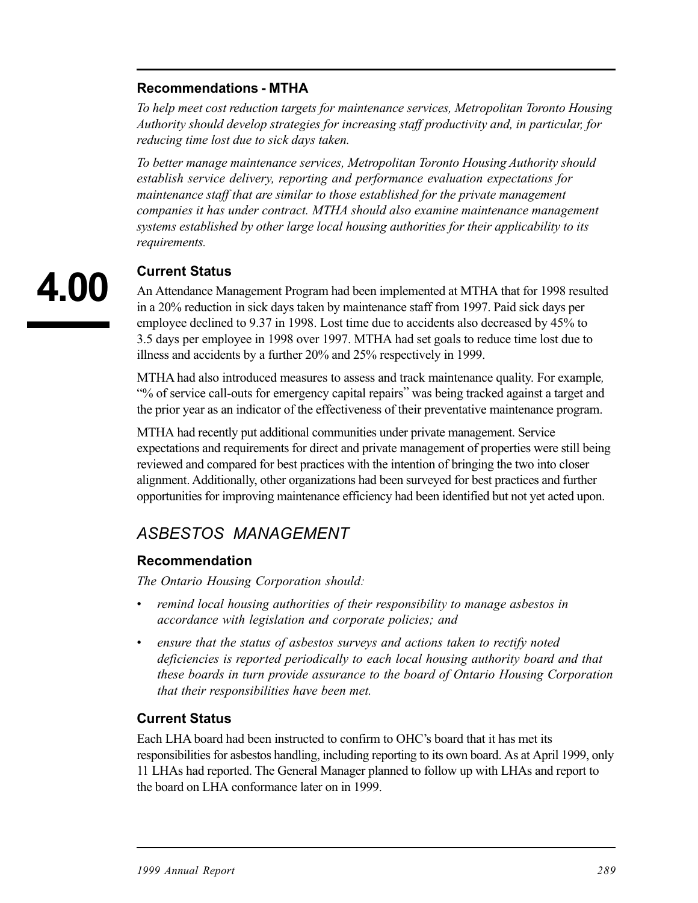#### **Recommendations - MTHA**

*To help meet cost reduction targets for maintenance services, Metropolitan Toronto Housing Authority should develop strategies for increasing staff productivity and, in particular, for reducing time lost due to sick days taken.* 

*To better manage maintenance services, Metropolitan Toronto Housing Authority should establish service delivery, reporting and performance evaluation expectations for maintenance staff that are similar to those established for the private management companies it has under contract. MTHA should also examine maintenance management systems established by other large local housing authorities for their applicability to its requirements.* 

# **4.00**

#### **Current Status**

An Attendance Management Program had been implemented at MTHA that for 1998 resulted in a 20% reduction in sick days taken by maintenance staff from 1997. Paid sick days per employee declined to 9.37 in 1998. Lost time due to accidents also decreased by 45% to 3.5 days per employee in 1998 over 1997. MTHA had set goals to reduce time lost due to illness and accidents by a further 20% and 25% respectively in 1999.

MTHA had also introduced measures to assess and track maintenance quality. For example*,*  "% of service call-outs for emergency capital repairs" was being tracked against a target and the prior year as an indicator of the effectiveness of their preventative maintenance program.

MTHA had recently put additional communities under private management. Service expectations and requirements for direct and private management of properties were still being reviewed and compared for best practices with the intention of bringing the two into closer alignment. Additionally, other organizations had been surveyed for best practices and further opportunities for improving maintenance efficiency had been identified but not yet acted upon.

### *ASBESTOS MANAGEMENT*

#### **Recommendation**

*The Ontario Housing Corporation should:* 

- *remind local housing authorities of their responsibility to manage asbestos in accordance with legislation and corporate policies; and*
- ensure that the status of asbestos surveys and actions taken to rectify noted *deficiencies is reported periodically to each local housing authority board and that these boards in turn provide assurance to the board of Ontario Housing Corporation that their responsibilities have been met.*

#### **Current Status**

Each LHA board had been instructed to confirm to OHC's board that it has met its responsibilities for asbestos handling, including reporting to its own board. As at April 1999, only 11 LHAs had reported. The General Manager planned to follow up with LHAs and report to the board on LHA conformance later on in 1999.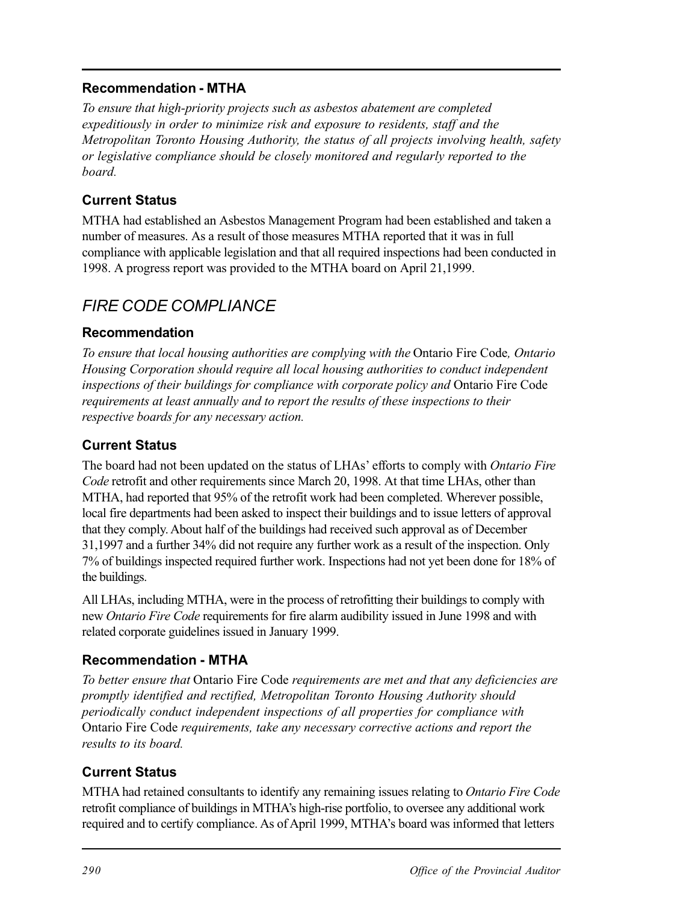#### **Recommendation - MTHA**

*To ensure that high-priority projects such as asbestos abatement are completed expeditiously in order to minimize risk and exposure to residents, staff and the Metropolitan Toronto Housing Authority, the status of all projects involving health, safety or legislative compliance should be closely monitored and regularly reported to the board.* 

#### **Current Status**

MTHA had established an Asbestos Management Program had been established and taken a number of measures. As a result of those measures MTHA reported that it was in full compliance with applicable legislation and that all required inspections had been conducted in 1998. A progress report was provided to the MTHA board on April 21,1999.

## *FIRE CODE COMPLIANCE*

#### **Recommendation**

*To ensure that local housing authorities are complying with the* Ontario Fire Code*, Ontario Housing Corporation should require all local housing authorities to conduct independent inspections of their buildings for compliance with corporate policy and* Ontario Fire Code *requirements at least annually and to report the results of these inspections to their respective boards for any necessary action.* 

#### **Current Status**

The board had not been updated on the status of LHAs' efforts to comply with *Ontario Fire Code* retrofit and other requirements since March 20, 1998. At that time LHAs, other than MTHA, had reported that 95% of the retrofit work had been completed. Wherever possible, local fire departments had been asked to inspect their buildings and to issue letters of approval that they comply. About half of the buildings had received such approval as of December 31,1997 and a further 34% did not require any further work as a result of the inspection. Only 7% of buildings inspected required further work. Inspections had not yet been done for 18% of the buildings.

All LHAs, including MTHA, were in the process of retrofitting their buildings to comply with new *Ontario Fire Code* requirements for fire alarm audibility issued in June 1998 and with related corporate guidelines issued in January 1999.

#### **Recommendation - MTHA**

*To better ensure that* Ontario Fire Code *requirements are met and that any deficiencies are promptly identified and rectified, Metropolitan Toronto Housing Authority should periodically conduct independent inspections of all properties for compliance with*  Ontario Fire Code *requirements, take any necessary corrective actions and report the results to its board.* 

#### **Current Status**

MTHA had retained consultants to identify any remaining issues relating to *Ontario Fire Code*  retrofit compliance of buildings in MTHA's high-rise portfolio, to oversee any additional work required and to certify compliance. As of April 1999, MTHA's board was informed that letters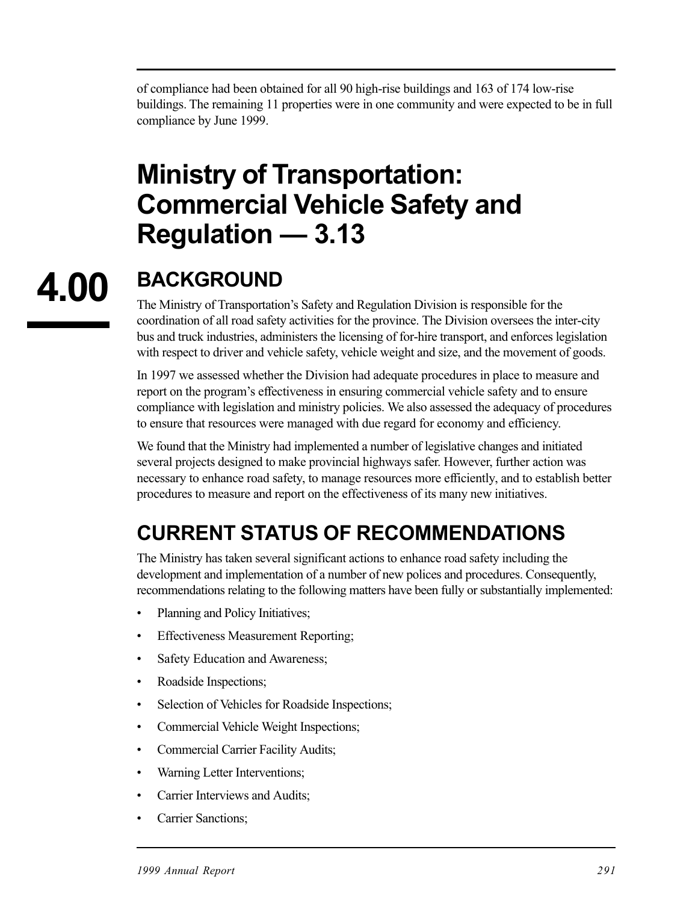of compliance had been obtained for all 90 high-rise buildings and 163 of 174 low-rise buildings. The remaining 11 properties were in one community and were expected to be in full compliance by June 1999.

# **Ministry of Transportation: Commercial Vehicle Safety and Regulation — 3.13**

# **4.00**

# **BACKGROUND**

The Ministry of Transportation's Safety and Regulation Division is responsible for the coordination of all road safety activities for the province. The Division oversees the inter-city bus and truck industries, administers the licensing of for-hire transport, and enforces legislation with respect to driver and vehicle safety, vehicle weight and size, and the movement of goods.

In 1997 we assessed whether the Division had adequate procedures in place to measure and report on the program's effectiveness in ensuring commercial vehicle safety and to ensure compliance with legislation and ministry policies. We also assessed the adequacy of procedures to ensure that resources were managed with due regard for economy and efficiency.

We found that the Ministry had implemented a number of legislative changes and initiated several projects designed to make provincial highways safer. However, further action was necessary to enhance road safety, to manage resources more efficiently, and to establish better procedures to measure and report on the effectiveness of its many new initiatives.

# **CURRENT STATUS OF RECOMMENDATIONS**

The Ministry has taken several significant actions to enhance road safety including the development and implementation of a number of new polices and procedures. Consequently, recommendations relating to the following matters have been fully or substantially implemented:

- Planning and Policy Initiatives;
- Effectiveness Measurement Reporting;
- Safety Education and Awareness;
- Roadside Inspections;
- Selection of Vehicles for Roadside Inspections;
- Commercial Vehicle Weight Inspections;
- Commercial Carrier Facility Audits;
- Warning Letter Interventions;
- Carrier Interviews and Audits;
- Carrier Sanctions;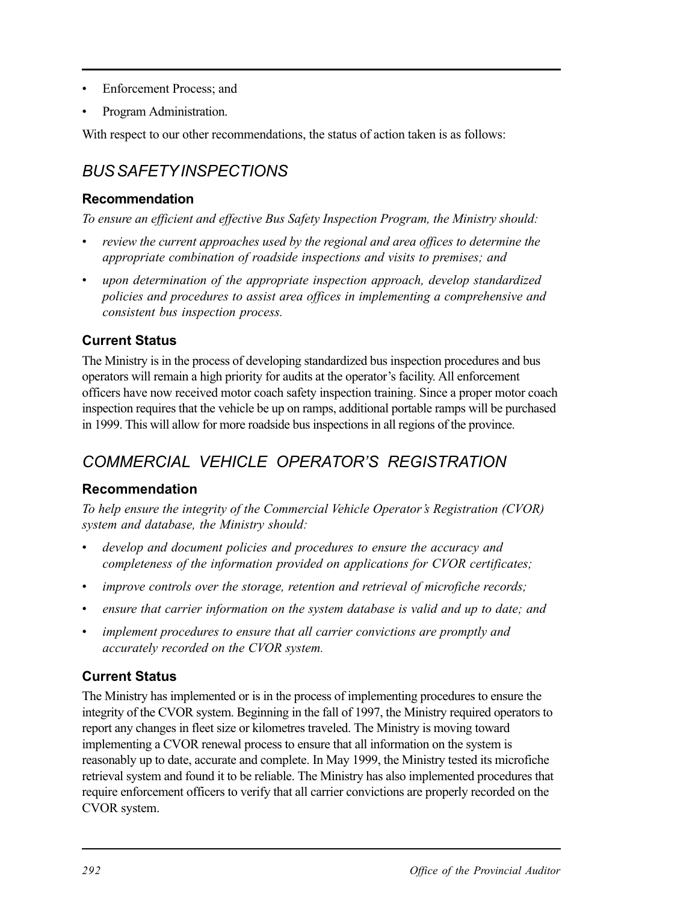- Enforcement Process; and
- Program Administration.

With respect to our other recommendations, the status of action taken is as follows:

# *BUS SAFETY INSPECTIONS*

#### **Recommendation**

*To ensure an efficient and effective Bus Safety Inspection Program, the Ministry should:* 

- *• review the current approaches used by the regional and area offices to determine the appropriate combination of roadside inspections and visits to premises; and*
- *upon determination of the appropriate inspection approach, develop standardized policies and procedures to assist area offices in implementing a comprehensive and consistent bus inspection process.*

#### **Current Status**

The Ministry is in the process of developing standardized bus inspection procedures and bus operators will remain a high priority for audits at the operator's facility. All enforcement officers have now received motor coach safety inspection training. Since a proper motor coach inspection requires that the vehicle be up on ramps, additional portable ramps will be purchased in 1999. This will allow for more roadside bus inspections in all regions of the province.

# *COMMERCIAL VEHICLE OPERATOR'S REGISTRATION*

#### **Recommendation**

*To help ensure the integrity of the Commercial Vehicle Operator's Registration (CVOR) system and database, the Ministry should:* 

- develop and document policies and procedures to ensure the accuracy and *completeness of the information provided on applications for CVOR certificates;*
- *improve controls over the storage, retention and retrieval of microfiche records;*
- *ensure that carrier information on the system database is valid and up to date; and*
- *implement procedures to ensure that all carrier convictions are promptly and accurately recorded on the CVOR system.*

#### **Current Status**

The Ministry has implemented or is in the process of implementing procedures to ensure the integrity of the CVOR system. Beginning in the fall of 1997, the Ministry required operators to report any changes in fleet size or kilometres traveled. The Ministry is moving toward implementing a CVOR renewal process to ensure that all information on the system is reasonably up to date, accurate and complete. In May 1999, the Ministry tested its microfiche retrieval system and found it to be reliable. The Ministry has also implemented procedures that require enforcement officers to verify that all carrier convictions are properly recorded on the CVOR system.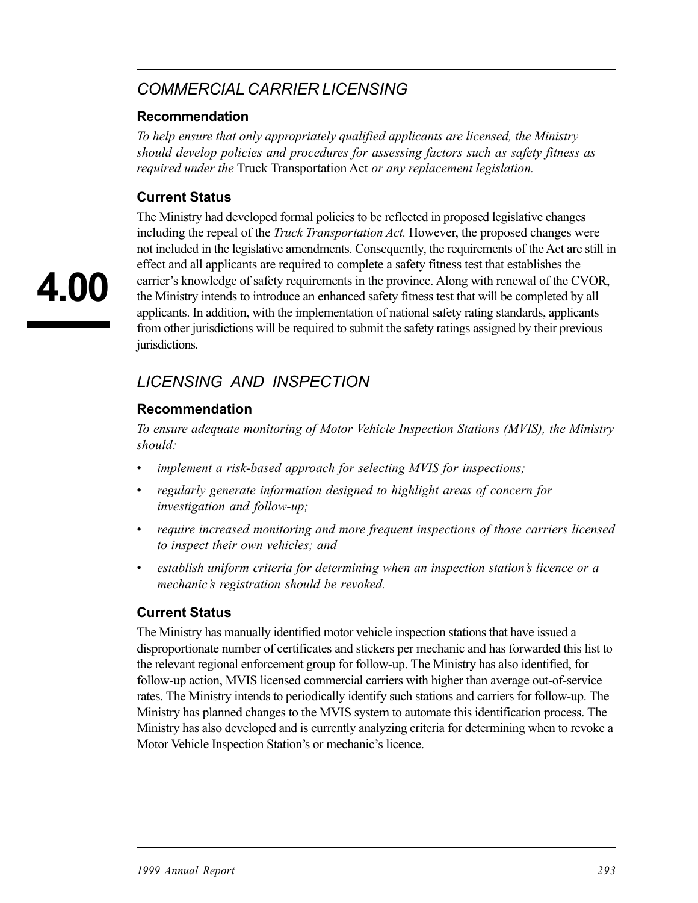## *COMMERCIAL CARRIER LICENSING*

#### **Recommendation**

*To help ensure that only appropriately qualified applicants are licensed, the Ministry should develop policies and procedures for assessing factors such as safety fitness as required under the* Truck Transportation Act *or any replacement legislation.* 

#### **Current Status**

The Ministry had developed formal policies to be reflected in proposed legislative changes including the repeal of the *Truck Transportation Act.* However, the proposed changes were not included in the legislative amendments. Consequently, the requirements of the Act are still in effect and all applicants are required to complete a safety fitness test that establishes the carrier's knowledge of safety requirements in the province. Along with renewal of the CVOR, the Ministry intends to introduce an enhanced safety fitness test that will be completed by all applicants. In addition, with the implementation of national safety rating standards, applicants from other jurisdictions will be required to submit the safety ratings assigned by their previous jurisdictions.

## *LICENSING AND INSPECTION*

#### **Recommendation**

*To ensure adequate monitoring of Motor Vehicle Inspection Stations (MVIS), the Ministry should:* 

- *implement a risk-based approach for selecting MVIS for inspections;*
- *regularly generate information designed to highlight areas of concern for investigation and follow-up;*
- *• require increased monitoring and more frequent inspections of those carriers licensed to inspect their own vehicles; and*
- *• establish uniform criteria for determining when an inspection station's licence or a mechanic's registration should be revoked.*

#### **Current Status**

The Ministry has manually identified motor vehicle inspection stations that have issued a disproportionate number of certificates and stickers per mechanic and has forwarded this list to the relevant regional enforcement group for follow-up. The Ministry has also identified, for follow-up action, MVIS licensed commercial carriers with higher than average out-of-service rates. The Ministry intends to periodically identify such stations and carriers for follow-up. The Ministry has planned changes to the MVIS system to automate this identification process. The Ministry has also developed and is currently analyzing criteria for determining when to revoke a Motor Vehicle Inspection Station's or mechanic's licence.